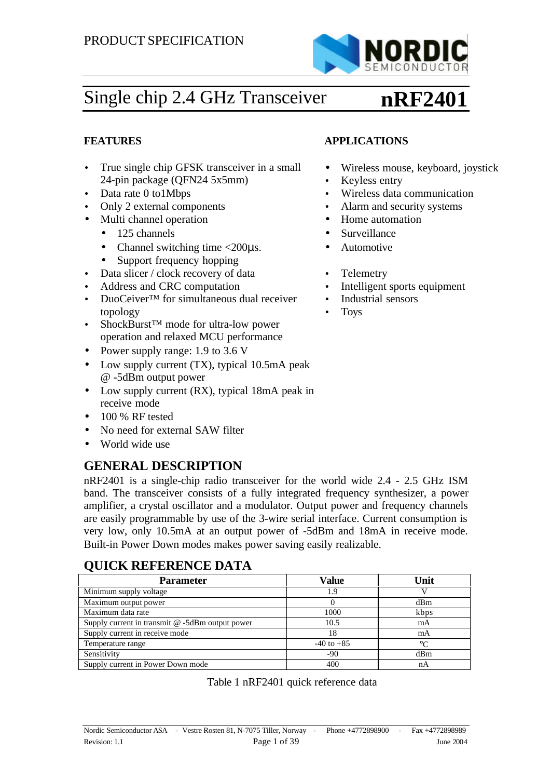

# Single chip 2.4 GHz Transceiver

# **nRF2401**

• Wireless mouse, keyboard, joystick

### **FEATURES APPLICATIONS**

- True single chip GFSK transceiver in a small 24-pin package (QFN24 5x5mm)
- Data rate 0 to1Mbps Wireless data communication
- Only 2 external components Alarm and security systems
- Multi channel operation
	- 125 channels
	- Channel switching time  $\langle 200 \mu s.$
	- Support frequency hopping
- Data slicer / clock recovery of data Telemetry
- Address and CRC computation Intelligent sports equipment
- DuoCeiver™ for simultaneous dual receiver topology
- ShockBurst™ mode for ultra-low power operation and relaxed MCU performance
- Power supply range: 1.9 to 3.6 V
- Low supply current (TX), typical 10.5mA peak @ -5dBm output power
- Low supply current (RX), typical 18mA peak in receive mode
- $\bullet$  100 % RF tested
- No need for external SAW filter
- World wide use

### **GENERAL DESCRIPTION**

nRF2401 is a single-chip radio transceiver for the world wide 2.4 - 2.5 GHz ISM band. The transceiver consists of a fully integrated frequency synthesizer, a power amplifier, a crystal oscillator and a modulator. Output power and frequency channels are easily programmable by use of the 3-wire serial interface. Current consumption is very low, only 10.5mA at an output power of -5dBm and 18mA in receive mode. Built-in Power Down modes makes power saving easily realizable.

### **QUICK REFERENCE DATA**

| <b>Parameter</b>                                   | Value          | Unit |
|----------------------------------------------------|----------------|------|
| Minimum supply voltage                             | 1.9            |      |
| Maximum output power                               |                | dBm  |
| Maximum data rate                                  | 1000           | kbps |
| Supply current in transmit $@ - 5dBm$ output power | 10.5           | mA   |
| Supply current in receive mode                     | 18             | mA   |
| Temperature range                                  | $-40$ to $+85$ | °∩   |
| Sensitivity                                        | $-90$          | dBm  |
| Supply current in Power Down mode                  | 400            | nА   |

| Table 1 nRF2401 quick reference data |  |  |
|--------------------------------------|--|--|
|--------------------------------------|--|--|

### • Home automation • Surveillance

- Automotive
- 
- 
- Industrial sensors

Keyless entry

• Toys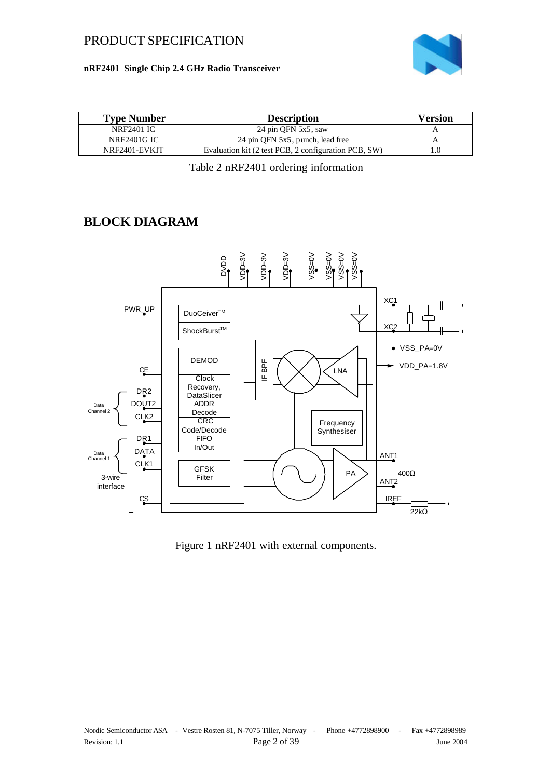



| <b>Type Number</b> | <b>Description</b>                                   | <b>Version</b> |
|--------------------|------------------------------------------------------|----------------|
| NRF2401 IC         | 24 pin OFN 5x5, saw                                  |                |
| <b>NRF2401G IC</b> | 24 pin QFN 5x5, punch, lead free                     |                |
| NRF2401-EVKIT      | Evaluation kit (2 test PCB, 2 configuration PCB, SW) | .0             |

Table 2 nRF2401 ordering information

### **BLOCK DIAGRAM**



Figure 1 nRF2401 with external components.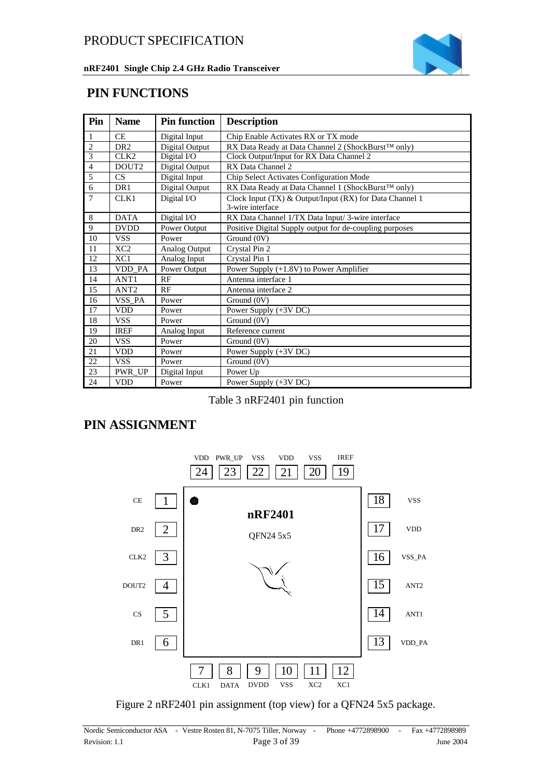

### **PIN FUNCTIONS**

| Pin            | <b>Name</b>      | <b>Pin function</b> | <b>Description</b>                                                          |
|----------------|------------------|---------------------|-----------------------------------------------------------------------------|
| $\mathbf{1}$   | <b>CE</b>        | Digital Input       | Chip Enable Activates RX or TX mode                                         |
| $\overline{2}$ | DR <sub>2</sub>  | Digital Output      | RX Data Ready at Data Channel 2 (ShockBurst™ only)                          |
| $\overline{3}$ | CLK2             | Digital I/O         | Clock Output/Input for RX Data Channel 2                                    |
| $\overline{4}$ | DOUT2            | Digital Output      | RX Data Channel 2                                                           |
| 5              | CS               | Digital Input       | Chip Select Activates Configuration Mode                                    |
| 6              | DR <sub>1</sub>  | Digital Output      | RX Data Ready at Data Channel 1 (ShockBurst™ only)                          |
| 7              | CLK1             | Digital I/O         | Clock Input (TX) & Output/Input (RX) for Data Channel 1<br>3-wire interface |
| 8              | <b>DATA</b>      | Digital I/O         | RX Data Channel 1/TX Data Input/3-wire interface                            |
| 9              | <b>DVDD</b>      | Power Output        | Positive Digital Supply output for de-coupling purposes                     |
| 10             | <b>VSS</b>       | Power               | Ground (0V)                                                                 |
| 11             | XC <sub>2</sub>  | Analog Output       | Crystal Pin 2                                                               |
| 12             | XC1              | Analog Input        | Crystal Pin 1                                                               |
| 13             | VDD PA           | Power Output        | Power Supply (+1.8V) to Power Amplifier                                     |
| 14             | ANT <sub>1</sub> | RF                  | Antenna interface 1                                                         |
| 15             | ANT <sub>2</sub> | RF                  | Antenna interface 2                                                         |
| 16             | VSS_PA           | Power               | Ground (0V)                                                                 |
| 17             | <b>VDD</b>       | Power               | Power Supply (+3V DC)                                                       |
| 18             | <b>VSS</b>       | Power               | Ground (0V)                                                                 |
| 19             | <b>IREF</b>      | Analog Input        | Reference current                                                           |
| 20             | <b>VSS</b>       | Power               | Ground (0V)                                                                 |
| 21             | <b>VDD</b>       | Power               | Power Supply (+3V DC)                                                       |
| 22             | <b>VSS</b>       | Power               | Ground (0V)                                                                 |
| 23             | PWR_UP           | Digital Input       | Power Up                                                                    |
| 24             | <b>VDD</b>       | Power               | Power Supply (+3V DC)                                                       |

Table 3 nRF2401 pin function

### **PIN ASSIGNMENT**



Figure 2 nRF2401 pin assignment (top view) for a QFN24 5x5 package.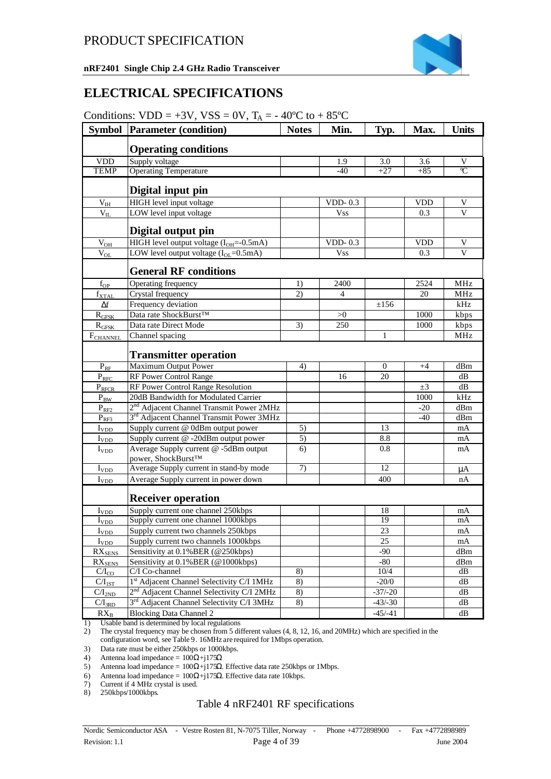### **ELECTRICAL SPECIFICATIONS**

| Conditions: $VDD = +3V$ , $VSS = 0V$ , $T_A = -40^{\circ}\text{C}$ to $+85^{\circ}\text{C}$ |  |  |  |  |
|---------------------------------------------------------------------------------------------|--|--|--|--|
|---------------------------------------------------------------------------------------------|--|--|--|--|

| <b>Symbol</b>        | <b>Parameter (condition)</b>                                                     | <b>Notes</b> | Min.       | Typ.         | Max.       | <b>Units</b>             |
|----------------------|----------------------------------------------------------------------------------|--------------|------------|--------------|------------|--------------------------|
|                      | <b>Operating conditions</b>                                                      |              |            |              |            |                          |
| <b>VDD</b>           | Supply voltage                                                                   |              | 1.9        | 3.0          | 3.6        | V                        |
| <b>TEMP</b>          | <b>Operating Temperature</b>                                                     |              | $-40$      | $+27$        | $+85$      | $\overline{\mathcal{C}}$ |
|                      | Digital input pin                                                                |              |            |              |            |                          |
| $V_{IH}$             | HIGH level input voltage                                                         |              | VDD-0.3    |              | <b>VDD</b> | V                        |
| $\rm V_{II}$         | LOW level input voltage                                                          |              | <b>Vss</b> |              | 0.3        | V                        |
|                      | Digital output pin                                                               |              |            |              |            |                          |
| $V_{OH}$             | HIGH level output voltage $(I_{OH}=-0.5mA)$                                      |              | $VDD-0.3$  |              | <b>VDD</b> | V                        |
| $V_{OL}$             | LOW level output voltage $(IOL=0.5mA)$                                           |              | <b>Vss</b> |              | 0.3        | V                        |
|                      | <b>General RF conditions</b>                                                     |              |            |              |            |                          |
| $f_{OP}$             | Operating frequency                                                              | 1)           | 2400       |              | 2524       | MHz                      |
| $f_{\text{XTAL}}$    | Crystal frequency                                                                | 2)           | 4          |              | 20         | MHz                      |
| $\Delta f$           | Frequency deviation                                                              |              |            | $\pm 156$    |            | kHz                      |
| $R_{GFSK}$           | Data rate ShockBurst <sup>TM</sup>                                               |              | >0         |              | 1000       | kbps                     |
| R <sub>GFSK</sub>    | Data rate Direct Mode                                                            | 3)           | 250        |              | 1000       | kbps                     |
| F <sub>CHANNEL</sub> | Channel spacing                                                                  |              |            | $\mathbf{1}$ |            | MHz                      |
|                      | <b>Transmitter operation</b>                                                     |              |            |              |            |                          |
| $P_{RF}$             | <b>Maximum Output Power</b>                                                      | 4)           |            | $\mathbf{0}$ | $+4$       | dBm                      |
| $P_{RFC}$            | RF Power Control Range                                                           |              | 16         | 20           |            | dВ                       |
| $P_{RFCR}$           | RF Power Control Range Resolution                                                |              |            |              | $\pm 3$    | dB                       |
| $P_{BW}$             | 20dB Bandwidth for Modulated Carrier                                             |              |            |              | 1000       | kHz                      |
| $P_{RF2}$            | 2 <sup>nd</sup> Adjacent Channel Transmit Power 2MHz                             |              |            |              | $-20$      | dBm                      |
| $P_{RF3}$            | 3 <sup>rd</sup> Adjacent Channel Transmit Power 3MHz                             |              |            |              | $-40$      | dBm                      |
| $I_{VDD}$            | Supply current @ 0dBm output power                                               | 5)           |            | 13           |            | mA                       |
| $I_{VDD}$            | Supply current @ -20dBm output power                                             | 5)           |            | 8.8          |            | mA                       |
| $I_{VDD}$            | Average Supply current @ -5dBm output<br>power, ShockBurst™                      | 6)           |            | 0.8          |            | mA                       |
| $I_{VDD}$            | Average Supply current in stand-by mode                                          | 7)           |            | 12           |            | μA                       |
| $I_{VDD}$            | Average Supply current in power down                                             |              |            | 400          |            | nA                       |
|                      | <b>Receiver operation</b>                                                        |              |            |              |            |                          |
| $I_{VDD}$            | Supply current one channel 250kbps                                               |              |            | 18           |            | mA                       |
| $I_{VDD}$            | Supply current one channel 1000kbps                                              |              |            | 19           |            | mA                       |
| $I_{\text{YDD}}$     | Supply current two channels 250kbps                                              |              |            | 23           |            | mA                       |
| $I_{VDD}$            | Supply current two channels 1000kbps                                             |              |            | 25           |            | mA                       |
| $RX_{SENS}$          | Sensitivity at 0.1% BER (@250kbps)                                               |              |            | -90          |            | dBm                      |
| $RX_{SENS}$          | Sensitivity at 0.1% BER (@1000kbps)                                              |              |            | -80          |            | dBm                      |
| $C/I_{CO}$           | C/I Co-channel                                                                   | 8)           |            | 10/4         |            | dB                       |
| $C/I_{1ST}$          | 1st Adjacent Channel Selectivity C/I 1MHz                                        | 8)           |            | $-20/0$      |            | dB                       |
| C/I <sub>2ND</sub>   | 2 <sup>nd</sup> Adjacent Channel Selectivity C/I 2MHz                            | 8)           |            | $-37/-20$    |            | dB                       |
| $C/I_{3RD}$          | 3 <sup>rd</sup> Adjacent Channel Selectivity C/I 3MHz                            | 8)           |            | $-43/-30$    |            | dB                       |
| $RX_B$<br>1)         | <b>Blocking Data Channel 2</b><br>Heable hand is determined by local requlations |              |            | $-45/-41$    |            | dВ                       |

1) Usable band is determined by local regulations

2) The crystal frequency may be chosen from 5 different values (4, 8, 12, 16, and 20MHz) which are specified in the configuration word, see Table 9. 16MHz are required for 1Mbps operation.

3) Data rate must be either 250kbps or 1000kbps.

4) Antenna load impedance =  $100\Omega + j175\Omega$ 

5) Antenna load impedance =  $100\Omega + j175\Omega$ . Effective data rate 250kbps or 1Mbps.<br>6) Antenna load impedance =  $100\Omega + j175\Omega$ . Effective data rate 10kbps.<br>7) Current if 4 MHz crystal is used.

6) Antenna load impedance =  $100\Omega + j175\Omega$ . Effective data rate 10kbps.

7) Current if 4 MHz crystal is used.

8) 250kbps/1000kbps.

#### Table 4 nRF2401 RF specifications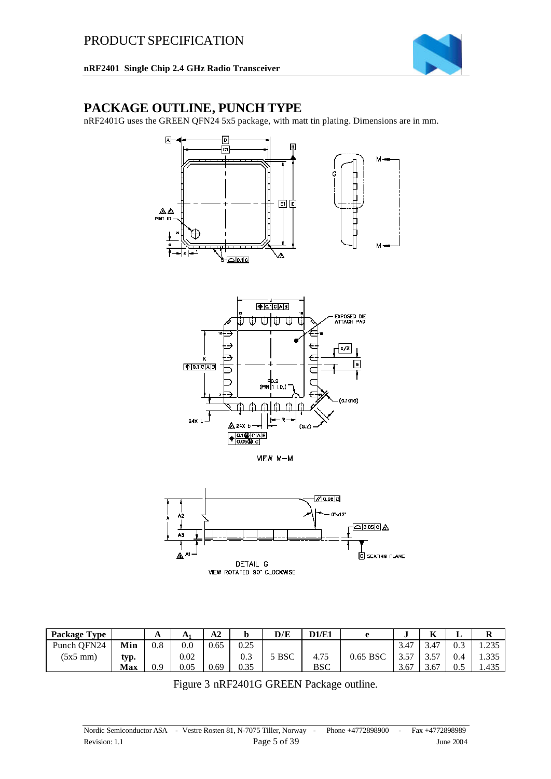### **PACKAGE OUTLINE, PUNCH TYPE**

nRF2401G uses the GREEN QFN24 5x5 package, with matt tin plating. Dimensions are in mm.









| <b>Package Type</b> |      | A        | $A^*$ | A <sub>2</sub> |      | D/E   | D1/E1      |          |            | $\mathbf{r}$<br>R. | ⊥   | R     |
|---------------------|------|----------|-------|----------------|------|-------|------------|----------|------------|--------------------|-----|-------|
| Punch OFN24         | Min  | $_{0.8}$ | 0.0   | 0.65           | 0.25 |       |            |          | 3.47       | 3.47               | 0.3 | 1.235 |
| $(5x5 \text{ mm})$  | typ. |          | 0.02  |                | 0.3  | 5 BSC | 4.75       | 0.65 BSC | 257<br>J.J | $E^{\pi}$<br>، ب   | 0.4 | 1.335 |
|                     | Max  | 0.9      | 0.05  | 0.69           | 0.35 |       | <b>BSC</b> |          | 3.67       | 3.67               | U.J | 1.435 |

Figure 3 nRF2401G GREEN Package outline.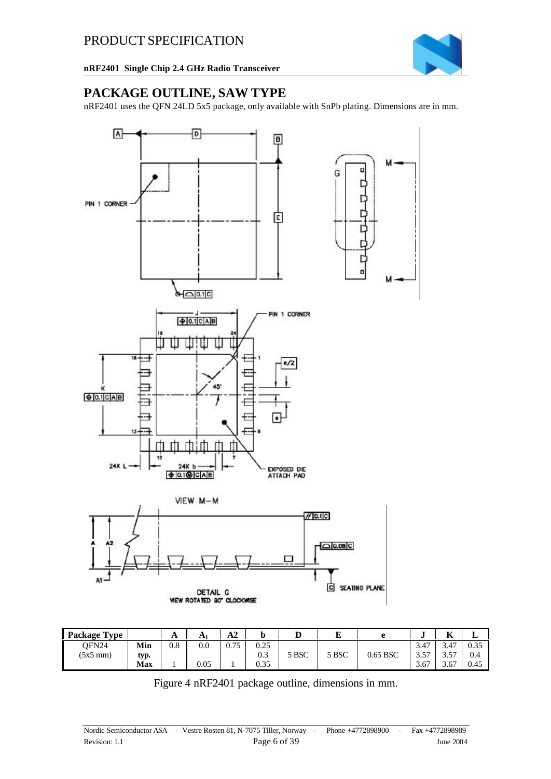

### **PACKAGE OUTLINE, SAW TYPE**

nRF2401 uses the QFN 24LD 5x5 package, only available with SnPb plating. Dimensions are in mm.



| <b>Package Type</b> |            | A   | A    | ١n<br>A2    | w         | v     | ю<br>ш. | ≏        | u                      | $\mathbf{r}$<br>A | u    |
|---------------------|------------|-----|------|-------------|-----------|-------|---------|----------|------------------------|-------------------|------|
| OFN24               | Min        | 0.8 | 0.0  | 175<br>U. 7 | 0.25      |       |         |          | $\overline{A}$<br>3.4. | 3.47              | 0.35 |
| $(5x5 \text{ mm})$  | typ.       |     |      |             | Λ2<br>U.J | 5 BSC | 5 BSC   | 0.65 BSC | $-$<br>⌒<br>ر. ر       | 57<br>ر. ر        | 0.4  |
|                     | <b>Max</b> |     | 0.05 |             | 0.35      |       |         |          | 3.67                   | 3.67              | 0.45 |

Figure 4 nRF2401 package outline, dimensions in mm.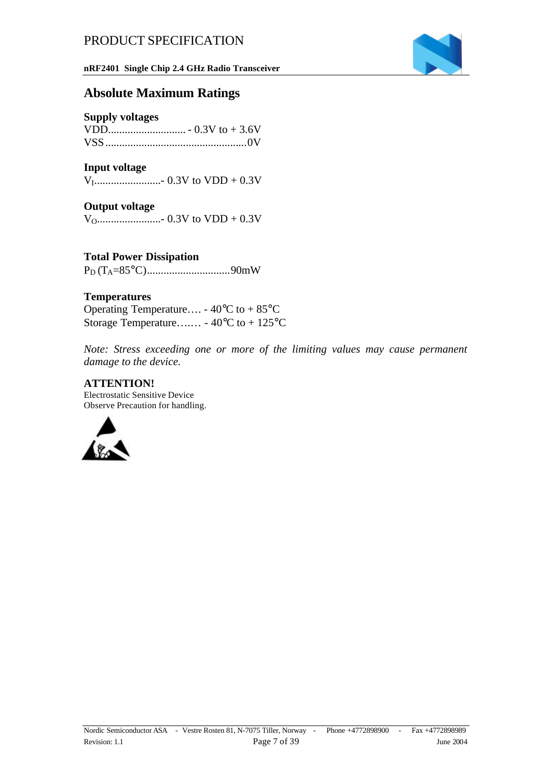**nRF2401 Single Chip 2.4 GHz Radio Transceiver**



### **Absolute Maximum Ratings**

#### **Supply voltages**

#### **Input voltage**

VI........................- 0.3V to VDD + 0.3V

#### **Output voltage**

VO.......................- 0.3V to VDD + 0.3V

### **Total Power Dissipation**

PD (TA=85°C)..............................90mW

#### **Temperatures**

Operating Temperature.... -  $40^{\circ}$ C to +  $85^{\circ}$ C Storage Temperature….… - 40°C to + 125°C

*Note: Stress exceeding one or more of the limiting values may cause permanent damage to the device.*

#### **ATTENTION!**

Electrostatic Sensitive Device Observe Precaution for handling.

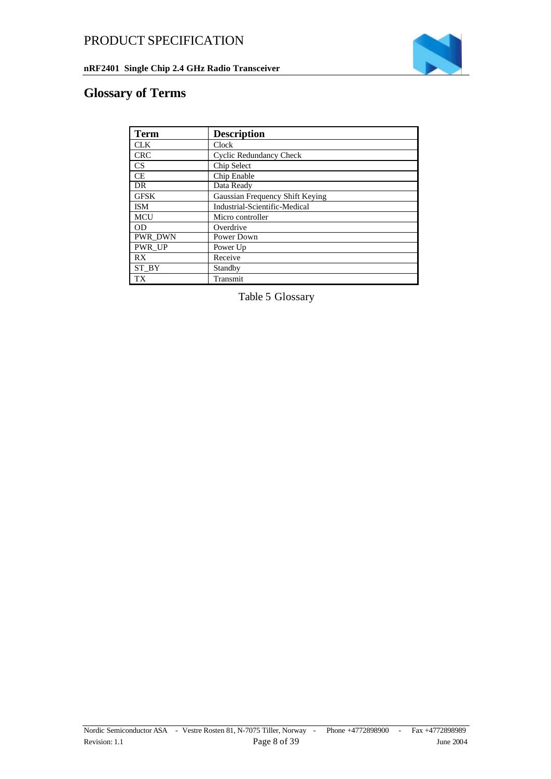



## **Glossary of Terms**

| <b>Term</b>    | <b>Description</b>              |
|----------------|---------------------------------|
| <b>CLK</b>     | Clock                           |
| <b>CRC</b>     | <b>Cyclic Redundancy Check</b>  |
| <b>CS</b>      | Chip Select                     |
| CE             | Chip Enable                     |
| DR             | Data Ready                      |
| GFSK           | Gaussian Frequency Shift Keying |
| ISM            | Industrial-Scientific-Medical   |
| <b>MCU</b>     | Micro controller                |
| <b>OD</b>      | Overdrive                       |
| <b>PWR DWN</b> | Power Down                      |
| <b>PWR UP</b>  | Power Up                        |
| RX             | Receive                         |
| ST BY          | Standby                         |
| <b>TX</b>      | Transmit                        |

Table 5 Glossary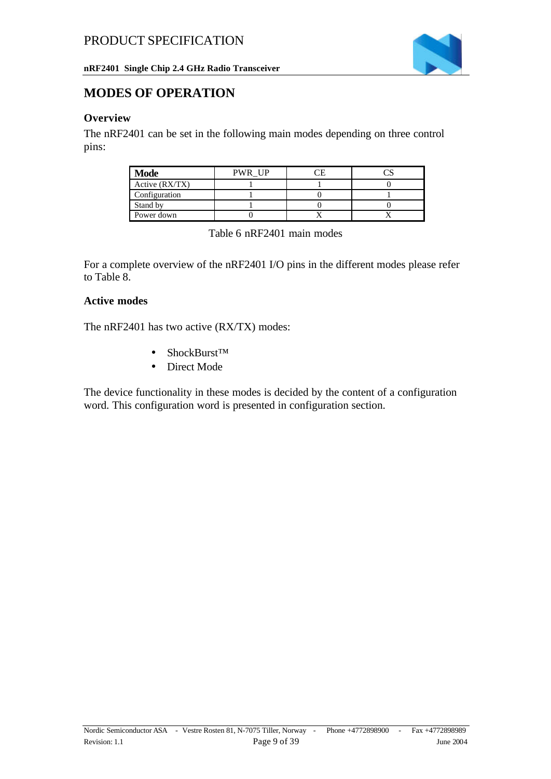

### **MODES OF OPERATION**

### **Overview**

The nRF2401 can be set in the following main modes depending on three control pins:

| <b>Mode</b>    | <b>PWR UP</b> |  |
|----------------|---------------|--|
| Active (RX/TX) |               |  |
| Configuration  |               |  |
| Stand by       |               |  |
| Power down     |               |  |

Table 6 nRF2401 main modes

For a complete overview of the nRF2401 I/O pins in the different modes please refer to Table 8.

#### **Active modes**

The nRF2401 has two active (RX/TX) modes:

- ShockBurst™
- Direct Mode

The device functionality in these modes is decided by the content of a configuration word. This configuration word is presented in configuration section.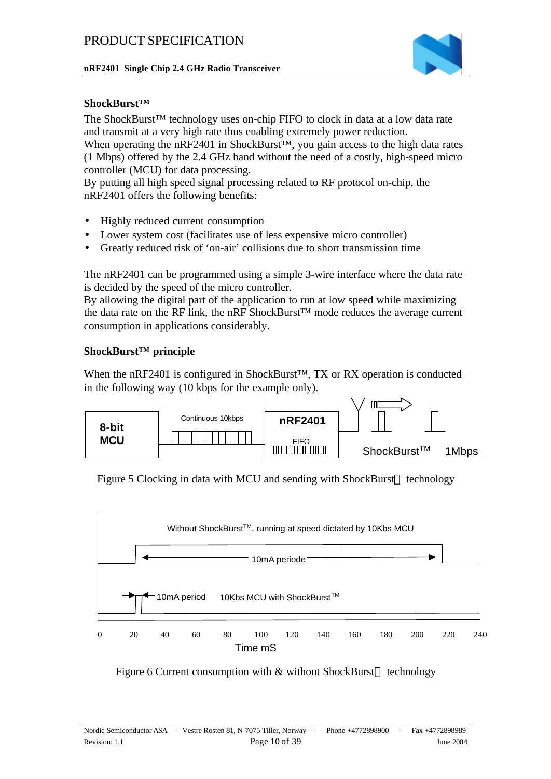

#### **ShockBurst™**

The ShockBurst™ technology uses on-chip FIFO to clock in data at a low data rate and transmit at a very high rate thus enabling extremely power reduction.

When operating the nRF2401 in ShockBurst™, you gain access to the high data rates (1 Mbps) offered by the 2.4 GHz band without the need of a costly, high-speed micro controller (MCU) for data processing.

By putting all high speed signal processing related to RF protocol on-chip, the nRF2401 offers the following benefits:

- Highly reduced current consumption
- Lower system cost (facilitates use of less expensive micro controller)
- Greatly reduced risk of 'on-air' collisions due to short transmission time

The nRF2401 can be programmed using a simple 3-wire interface where the data rate is decided by the speed of the micro controller.

By allowing the digital part of the application to run at low speed while maximizing the data rate on the RF link, the nRF ShockBurst™ mode reduces the average current consumption in applications considerably.

#### **ShockBurst™ principle**

When the nRF2401 is configured in ShockBurst™, TX or RX operation is conducted in the following way (10 kbps for the example only).



Figure 5 Clocking in data with MCU and sending with ShockBurst<sup> $M$ </sup> technology



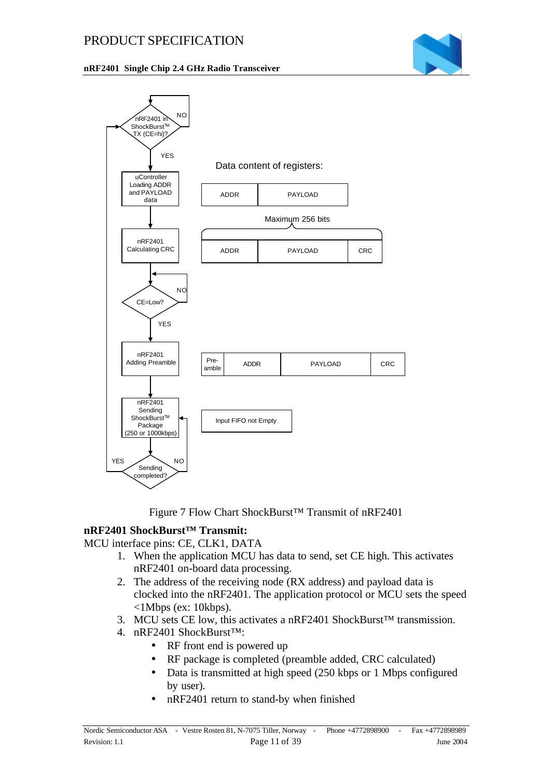#### **nRF2401 Single Chip 2.4 GHz Radio Transceiver**





Figure 7 Flow Chart ShockBurst™ Transmit of nRF2401

#### **nRF2401 ShockBurst™ Transmit:**

MCU interface pins: CE, CLK1, DATA

- 1. When the application MCU has data to send, set CE high. This activates nRF2401 on-board data processing.
- 2. The address of the receiving node (RX address) and payload data is clocked into the nRF2401. The application protocol or MCU sets the speed <1Mbps (ex: 10kbps).
- 3. MCU sets CE low, this activates a nRF2401 ShockBurst™ transmission.
- 4. nRF2401 ShockBurst™:
	- RF front end is powered up
	- RF package is completed (preamble added, CRC calculated)
	- Data is transmitted at high speed (250 kbps or 1 Mbps configured by user).
	- nRF2401 return to stand-by when finished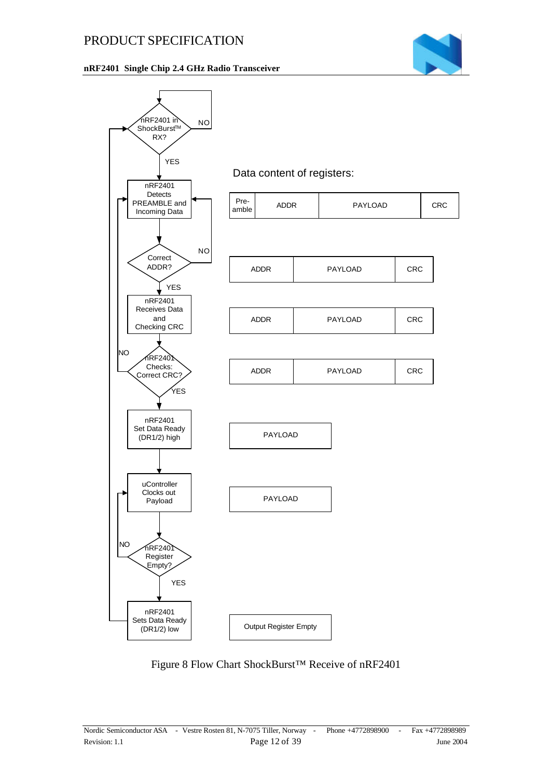#### **nRF2401 Single Chip 2.4 GHz Radio Transceiver**





Figure 8 Flow Chart ShockBurst™ Receive of nRF2401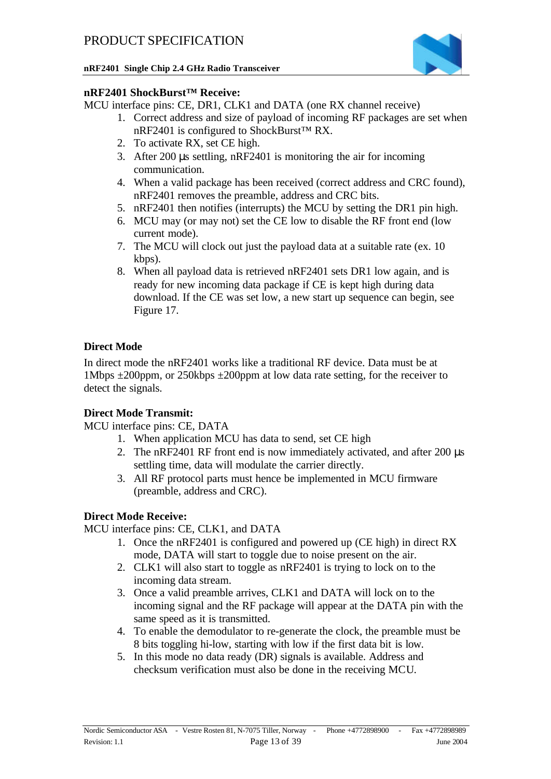

### **nRF2401 ShockBurst™ Receive:**

MCU interface pins: CE, DR1, CLK1 and DATA (one RX channel receive)

- 1. Correct address and size of payload of incoming RF packages are set when nRF2401 is configured to ShockBurst™ RX.
- 2. To activate RX, set CE high.
- 3. After 200 μs settling, nRF2401 is monitoring the air for incoming communication.
- 4. When a valid package has been received (correct address and CRC found), nRF2401 removes the preamble, address and CRC bits.
- 5. nRF2401 then notifies (interrupts) the MCU by setting the DR1 pin high.
- 6. MCU may (or may not) set the CE low to disable the RF front end (low current mode).
- 7. The MCU will clock out just the payload data at a suitable rate (ex. 10 kbps).
- 8. When all payload data is retrieved nRF2401 sets DR1 low again, and is ready for new incoming data package if CE is kept high during data download. If the CE was set low, a new start up sequence can begin, see Figure 17.

### **Direct Mode**

In direct mode the nRF2401 works like a traditional RF device. Data must be at 1Mbps  $\pm 200$ ppm, or 250kbps  $\pm 200$ ppm at low data rate setting, for the receiver to detect the signals.

### **Direct Mode Transmit:**

MCU interface pins: CE, DATA

- 1. When application MCU has data to send, set CE high
- 2. The nRF2401 RF front end is now immediately activated, and after 200 μs settling time, data will modulate the carrier directly.
- 3. All RF protocol parts must hence be implemented in MCU firmware (preamble, address and CRC).

### **Direct Mode Receive:**

MCU interface pins: CE, CLK1, and DATA

- 1. Once the nRF2401 is configured and powered up (CE high) in direct RX mode, DATA will start to toggle due to noise present on the air.
- 2. CLK1 will also start to toggle as nRF2401 is trying to lock on to the incoming data stream.
- 3. Once a valid preamble arrives, CLK1 and DATA will lock on to the incoming signal and the RF package will appear at the DATA pin with the same speed as it is transmitted.
- 4. To enable the demodulator to re-generate the clock, the preamble must be 8 bits toggling hi-low, starting with low if the first data bit is low.
- 5. In this mode no data ready (DR) signals is available. Address and checksum verification must also be done in the receiving MCU.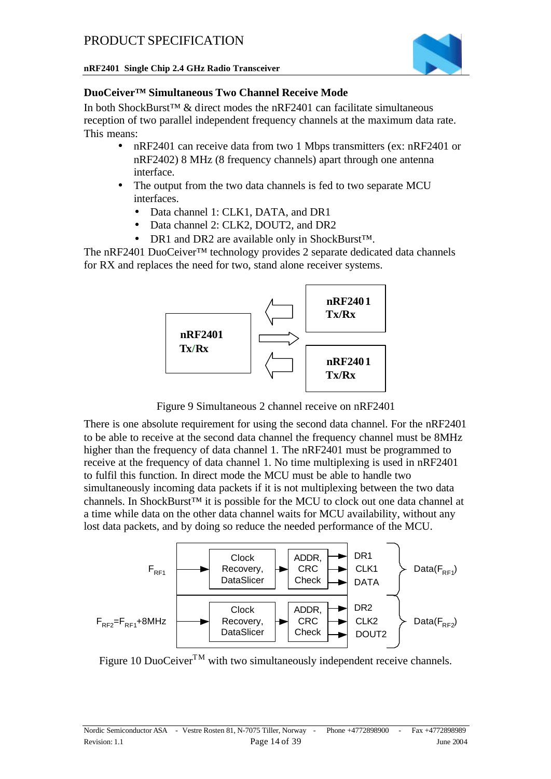

### **DuoCeiver™ Simultaneous Two Channel Receive Mode**

In both ShockBurst<sup>™</sup> & direct modes the nRF2401 can facilitate simultaneous reception of two parallel independent frequency channels at the maximum data rate. This means:

- nRF2401 can receive data from two 1 Mbps transmitters (ex: nRF2401 or nRF2402) 8 MHz (8 frequency channels) apart through one antenna interface.
- The output from the two data channels is fed to two separate MCU interfaces.
	- Data channel 1: CLK1, DATA, and DR1
	- Data channel 2: CLK2, DOUT2, and DR2
	- DR1 and DR2 are available only in ShockBurst<sup>™.</sup>

The nRF2401 DuoCeiver™ technology provides 2 separate dedicated data channels for RX and replaces the need for two, stand alone receiver systems.



Figure 9 Simultaneous 2 channel receive on nRF2401

There is one absolute requirement for using the second data channel. For the nRF2401 to be able to receive at the second data channel the frequency channel must be 8MHz higher than the frequency of data channel 1. The nRF2401 must be programmed to receive at the frequency of data channel 1. No time multiplexing is used in nRF2401 to fulfil this function. In direct mode the MCU must be able to handle two simultaneously incoming data packets if it is not multiplexing between the two data channels. In ShockBurst™ it is possible for the MCU to clock out one data channel at a time while data on the other data channel waits for MCU availability, without any lost data packets, and by doing so reduce the needed performance of the MCU.



Figure 10 DuoCeiver<sup>TM</sup> with two simultaneously independent receive channels.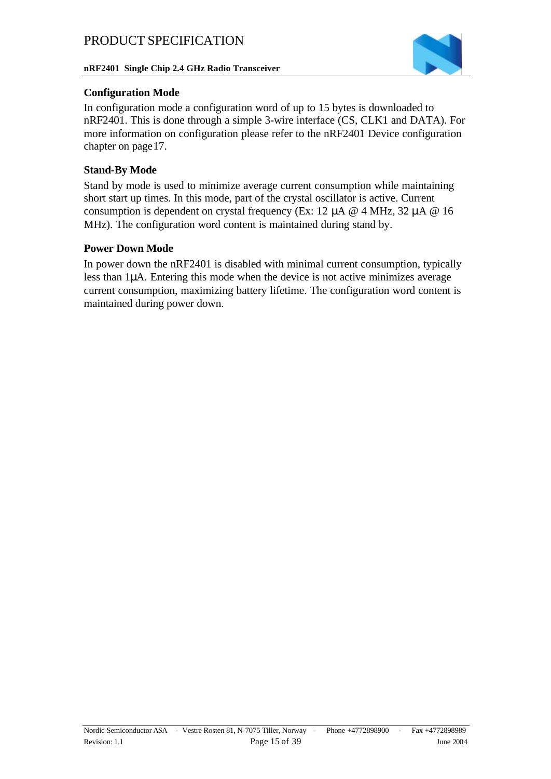

#### **Configuration Mode**

In configuration mode a configuration word of up to 15 bytes is downloaded to nRF2401. This is done through a simple 3-wire interface (CS, CLK1 and DATA). For more information on configuration please refer to the nRF2401 Device configuration chapter on page17.

### **Stand-By Mode**

Stand by mode is used to minimize average current consumption while maintaining short start up times. In this mode, part of the crystal oscillator is active. Current consumption is dependent on crystal frequency (Ex: 12 μA @ 4 MHz, 32 μA @ 16 MHz). The configuration word content is maintained during stand by.

#### **Power Down Mode**

In power down the nRF2401 is disabled with minimal current consumption, typically less than 1μA. Entering this mode when the device is not active minimizes average current consumption, maximizing battery lifetime. The configuration word content is maintained during power down.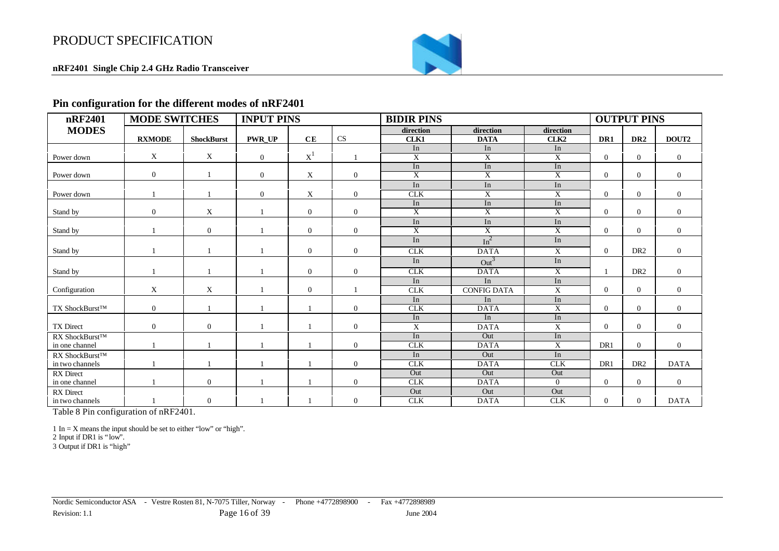**nRF2401 Single Chip 2.4 GHz Radio Transceiver**



#### **Pin configuration for the different modes of nRF2401**

| nRF2401          | <b>MODE SWITCHES</b> |                   | <b>INPUT PINS</b> |                |                | <b>BIDIR PINS</b> |                         |                  |                | <b>OUTPUT PINS</b> |                |
|------------------|----------------------|-------------------|-------------------|----------------|----------------|-------------------|-------------------------|------------------|----------------|--------------------|----------------|
| <b>MODES</b>     |                      |                   |                   |                |                | direction         | direction               | direction        |                |                    |                |
|                  | <b>RXMODE</b>        | <b>ShockBurst</b> | <b>PWR UP</b>     | CE             | <b>CS</b>      | CLK1              | <b>DATA</b>             | CLK <sub>2</sub> | DR1            | DR <sub>2</sub>    | DOUT2          |
|                  |                      |                   |                   |                |                | In                | In                      | In               |                |                    |                |
| Power down       | X                    | X                 | $\overline{0}$    | $X^1$          |                | $\overline{X}$    | $\overline{X}$          | $\overline{X}$   | $\Omega$       | $\overline{0}$     | $\overline{0}$ |
|                  |                      |                   |                   |                |                | In                | In                      | In               |                |                    |                |
| Power down       | $\mathbf{0}$         |                   | $\overline{0}$    | X              | $\mathbf{0}$   | $\overline{X}$    | $\overline{\mathrm{X}}$ | $\overline{X}$   | $\Omega$       | $\mathbf{0}$       | $\overline{0}$ |
|                  |                      |                   |                   |                |                | In                | In                      | In               |                |                    |                |
| Power down       |                      |                   | $\overline{0}$    | X              | $\overline{0}$ | <b>CLK</b>        | $\overline{X}$          | $\overline{X}$   | $\overline{0}$ | $\mathbf{0}$       | $\overline{0}$ |
|                  |                      |                   |                   |                |                | In                | In                      | In               |                |                    |                |
| Stand by         | $\mathbf{0}$         | X                 |                   | $\overline{0}$ | $\overline{0}$ | $\overline{X}$    | $\overline{X}$          | $\overline{X}$   | $\mathbf{0}$   | $\overline{0}$     | $\overline{0}$ |
|                  |                      |                   |                   |                |                | In                | In                      | In               |                |                    |                |
| Stand by         |                      | $\overline{0}$    |                   | $\overline{0}$ | $\overline{0}$ | $\overline{X}$    | $\overline{X}$          | $\overline{X}$   | $\overline{0}$ | $\mathbf{0}$       | $\overline{0}$ |
|                  |                      |                   |                   |                |                | In                | In <sup>2</sup>         | In               |                |                    |                |
| Stand by         |                      |                   |                   | $\overline{0}$ | $\mathbf{0}$   | CLK               | <b>DATA</b>             | X                | $\mathbf{0}$   | DR <sub>2</sub>    | $\overline{0}$ |
|                  |                      |                   |                   |                |                | In                | Out <sup>3</sup>        | In               |                |                    |                |
| Stand by         |                      |                   |                   | $\Omega$       | $\mathbf{0}$   | <b>CLK</b>        | <b>DATA</b>             | $\overline{X}$   |                | DR <sub>2</sub>    | $\overline{0}$ |
|                  |                      |                   |                   |                |                | In                | In                      | In               |                |                    |                |
| Configuration    | X                    | X                 |                   | $\overline{0}$ |                | <b>CLK</b>        | <b>CONFIG DATA</b>      | $\mathbf X$      | $\mathbf{0}$   | $\mathbf{0}$       | $\overline{0}$ |
|                  |                      |                   |                   |                |                | In                | In                      | In               |                |                    |                |
| TX ShockBurst™   | $\boldsymbol{0}$     |                   |                   |                | $\mathbf{0}$   | <b>CLK</b>        | <b>DATA</b>             | $\overline{X}$   | $\Omega$       | $\mathbf{0}$       | $\overline{0}$ |
|                  |                      |                   |                   |                |                | In                | In                      | In               |                |                    |                |
| <b>TX</b> Direct | $\mathbf{0}$         | $\mathbf{0}$      |                   |                | $\mathbf{0}$   | $\mathbf X$       | <b>DATA</b>             | $\mathbf X$      | $\Omega$       | $\mathbf{0}$       | $\overline{0}$ |
| RX ShockBurst™   |                      |                   |                   |                |                | In                | Out                     | In               |                |                    |                |
| in one channel   |                      |                   |                   |                | $\overline{0}$ | <b>CLK</b>        | <b>DATA</b>             | $\overline{X}$   | DR1            | $\overline{0}$     | $\overline{0}$ |
| RX ShockBurst™   |                      |                   |                   |                |                | In                | Out                     | In               |                |                    |                |
| in two channels  |                      |                   |                   |                | $\mathbf{0}$   | <b>CLK</b>        | <b>DATA</b>             | <b>CLK</b>       | DR1            | DR <sub>2</sub>    | <b>DATA</b>    |
| <b>RX</b> Direct |                      |                   |                   |                |                | Out               | Out                     | Out              |                |                    |                |
| in one channel   |                      | $\mathbf{0}$      |                   |                | $\mathbf{0}$   | <b>CLK</b>        | <b>DATA</b>             | $\Omega$         | $\theta$       | $\Omega$           | $\mathbf{0}$   |
| <b>RX</b> Direct |                      |                   |                   |                |                | Out               | Out                     | Out              |                |                    |                |
| in two channels  |                      | $\boldsymbol{0}$  |                   |                | $\mathbf{0}$   | <b>CLK</b>        | <b>DATA</b>             | CLK              | $\mathbf{0}$   | $\overline{0}$     | <b>DATA</b>    |

Table 8 Pin configuration of nRF2401.

1 In  $=$  X means the input should be set to either "low" or "high".

2 Input if DR1 is "low".

3 Output if DR1 is "high"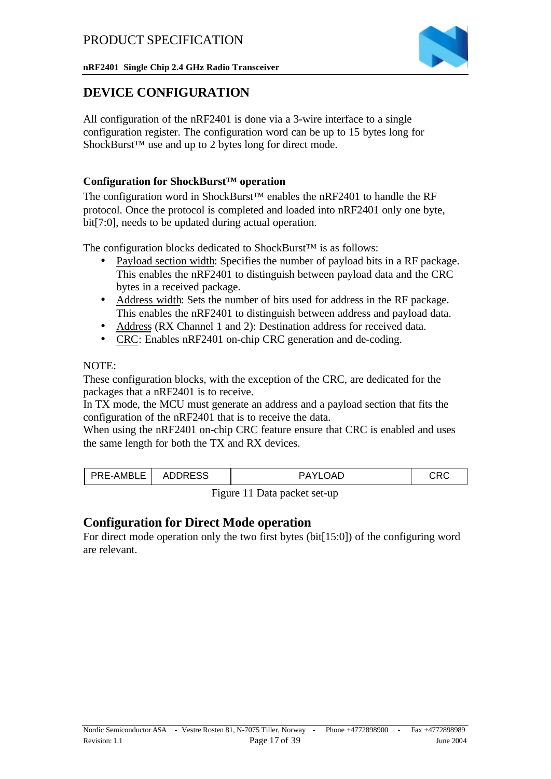**nRF2401 Single Chip 2.4 GHz Radio Transceiver**



### **DEVICE CONFIGURATION**

All configuration of the nRF2401 is done via a 3-wire interface to a single configuration register. The configuration word can be up to 15 bytes long for ShockBurst™ use and up to 2 bytes long for direct mode.

#### **Configuration for ShockBurst™ operation**

The configuration word in ShockBurst™ enables the nRF2401 to handle the RF protocol. Once the protocol is completed and loaded into nRF2401 only one byte, bit[7:0], needs to be updated during actual operation.

The configuration blocks dedicated to ShockBurst™ is as follows:

- Payload section width: Specifies the number of payload bits in a RF package. This enables the nRF2401 to distinguish between payload data and the CRC bytes in a received package.
- Address width: Sets the number of bits used for address in the RF package. This enables the nRF2401 to distinguish between address and payload data.
- Address (RX Channel 1 and 2): Destination address for received data.
- CRC: Enables nRF2401 on-chip CRC generation and de-coding.

#### NOTE:

These configuration blocks, with the exception of the CRC, are dedicated for the packages that a nRF2401 is to receive.

In TX mode, the MCU must generate an address and a payload section that fits the configuration of the nRF2401 that is to receive the data.

When using the nRF2401 on-chip CRC feature ensure that CRC is enabled and uses the same length for both the TX and RX devices.

| F-AMRI F | .nnroc<br>ΔΙ<br><b>JURESS</b> |   |  |
|----------|-------------------------------|---|--|
|          | $ -$                          | . |  |

Figure 11 Data packet set-up

### **Configuration for Direct Mode operation**

For direct mode operation only the two first bytes (bit[15:0]) of the configuring word are relevant.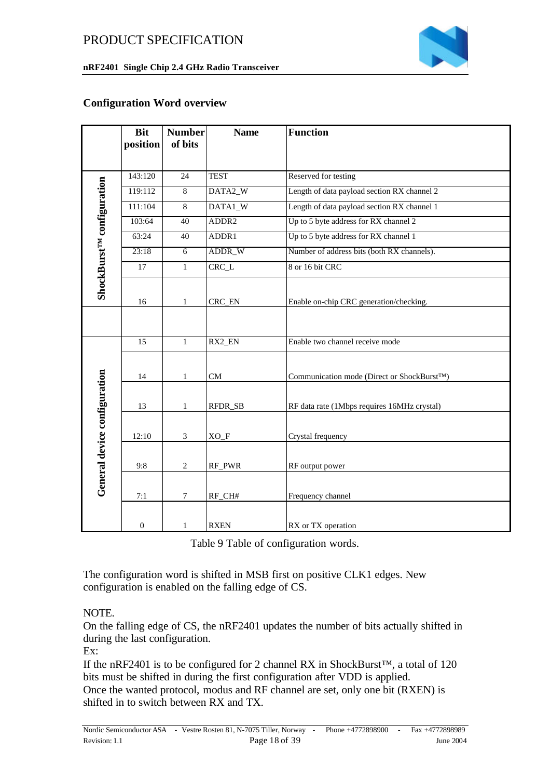

#### **Configuration Word overview**

|                                        | <b>Bit</b>       | <b>Number</b>  | <b>Name</b>       | <b>Function</b>                                          |
|----------------------------------------|------------------|----------------|-------------------|----------------------------------------------------------|
|                                        | position         | of bits        |                   |                                                          |
|                                        |                  |                |                   |                                                          |
|                                        | 143:120          | 24             | <b>TEST</b>       | Reserved for testing                                     |
|                                        | 119:112          | $\overline{8}$ | DATA2_W           | Length of data payload section RX channel 2              |
|                                        | 111:104          | 8              | DATA1_W           | Length of data payload section RX channel 1              |
|                                        | 103:64           | 40             | ADDR <sub>2</sub> | Up to 5 byte address for RX channel 2                    |
|                                        | 63:24            | 40             | ADDR1             | Up to 5 byte address for RX channel 1                    |
|                                        | 23:18            | $\overline{6}$ | ADDR_W            | Number of address bits (both RX channels).               |
|                                        | 17               | $\mathbf{1}$   | $CRC_L$           | 8 or 16 bit CRC                                          |
| ShockBurst <sup>rM</sup> configuration |                  |                |                   |                                                          |
|                                        | 16               | $\mathbf{1}$   | CRC_EN            | Enable on-chip CRC generation/checking.                  |
|                                        |                  |                |                   |                                                          |
|                                        | 15               | $\mathbf{1}$   | $RX2$ _EN         | Enable two channel receive mode                          |
|                                        | 14               | $\mathbf{1}$   | CM                | Communication mode (Direct or ShockBurst <sup>TM</sup> ) |
|                                        |                  |                |                   |                                                          |
|                                        | 13               | 1              | RFDR_SB           | RF data rate (1Mbps requires 16MHz crystal)              |
|                                        |                  |                |                   |                                                          |
|                                        | 12:10            | 3              | $XO_F$            | Crystal frequency                                        |
|                                        |                  |                |                   |                                                          |
|                                        | 9:8              | $\overline{c}$ | RF_PWR            | RF output power                                          |
| General device configuration           |                  | $\overline{7}$ |                   |                                                          |
|                                        | 7:1              |                | RF_CH#            | Frequency channel                                        |
|                                        | $\boldsymbol{0}$ | $\mathbf{1}$   | <b>RXEN</b>       | RX or TX operation                                       |

Table 9 Table of configuration words.

The configuration word is shifted in MSB first on positive CLK1 edges. New configuration is enabled on the falling edge of CS.

#### NOTE.

On the falling edge of CS, the nRF2401 updates the number of bits actually shifted in during the last configuration.

Ex:

If the nRF2401 is to be configured for 2 channel RX in ShockBurst™, a total of 120 bits must be shifted in during the first configuration after VDD is applied. Once the wanted protocol, modus and RF channel are set, only one bit (RXEN) is shifted in to switch between RX and TX.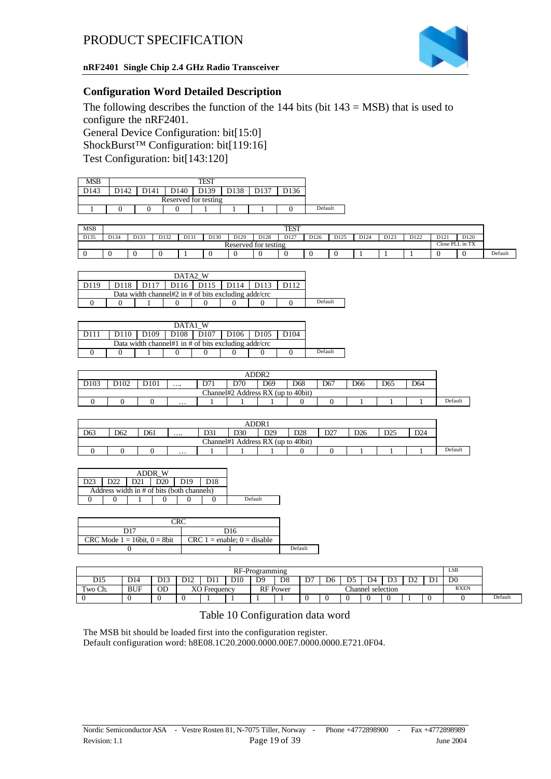

#### **Configuration Word Detailed Description**

The following describes the function of the  $144$  bits (bit  $143 = MSB$ ) that is used to configure the nRF2401. General Device Configuration: bit[15:0] ShockBurst™ Configuration: bit[119:16] Test Configuration: bit[143:120]

| MSB  | TEST                        |  |                      |  |  |  |         |  |  |  |
|------|-----------------------------|--|----------------------|--|--|--|---------|--|--|--|
| 0143 | 139<br>0140<br>$14^{\circ}$ |  |                      |  |  |  |         |  |  |  |
|      |                             |  | Reserved for testing |  |  |  |         |  |  |  |
|      |                             |  |                      |  |  |  | Default |  |  |  |

| MSB  | TEST |      |      |      |      |      |                                |      |      |      |                  |      |      |                 |                  |         |
|------|------|------|------|------|------|------|--------------------------------|------|------|------|------------------|------|------|-----------------|------------------|---------|
| D135 | D134 | D133 | D132 | D131 | D130 | D129 | D128                           | D127 | D126 | D125 | D <sub>124</sub> | D123 | D122 | D <sub>12</sub> | D <sub>120</sub> |         |
|      |      |      |      |      |      |      | $\sim$<br>Reserved for testing |      |      |      |                  |      |      | Close PLL in TX |                  |         |
|      |      |      |      |      |      |      |                                |      |      |      |                  |      |      |                 |                  | Default |

|  | DATA2 W          |                                                 |  |  |  |  |  |         |  |  |  |
|--|------------------|-------------------------------------------------|--|--|--|--|--|---------|--|--|--|
|  | D <sub>118</sub> | D <sub>117</sub><br>  D116   D115   D114   D113 |  |  |  |  |  |         |  |  |  |
|  |                  |                                                 |  |  |  |  |  |         |  |  |  |
|  |                  |                                                 |  |  |  |  |  | Default |  |  |  |

| W<br>DATA1                                           |      |                                                                                                                   |  |  |  |  |  |         |  |  |
|------------------------------------------------------|------|-------------------------------------------------------------------------------------------------------------------|--|--|--|--|--|---------|--|--|
| D111                                                 | D110 | D <sub>108</sub> D <sub>107</sub><br>D <sub>109</sub><br>D <sub>106</sub><br>D <sub>105</sub><br>D <sub>104</sub> |  |  |  |  |  |         |  |  |
| Data width channel#1 in # of bits excluding addr/crc |      |                                                                                                                   |  |  |  |  |  |         |  |  |
|                                                      |      |                                                                                                                   |  |  |  |  |  | Default |  |  |

| ADDR2            |                  |     |   |     |                                    |     |                 |     |     |     |                 |         |
|------------------|------------------|-----|---|-----|------------------------------------|-----|-----------------|-----|-----|-----|-----------------|---------|
| D <sub>103</sub> | D <sub>102</sub> | 101 | . | D71 | D70                                | D69 | D <sub>68</sub> | D67 | D66 | D65 | D <sub>64</sub> |         |
|                  |                  |     |   |     | Channel#2 Address RX (up to 40bit) |     |                 |     |     |     |                 |         |
|                  |                  |     | . |     |                                    |     |                 |     |     |     |                 | Default |

|                 | ADDR1                                                                                                                                   |  |  |           |  |                          |  |  |  |         |  |  |
|-----------------|-----------------------------------------------------------------------------------------------------------------------------------------|--|--|-----------|--|--------------------------|--|--|--|---------|--|--|
| D <sub>63</sub> | D31<br>DOQ<br>D28<br>D30<br>D24<br>DO <sub>7</sub><br>D <sub>62</sub><br>DCE<br>D26<br>D61<br>، ے ب<br>DZJ<br><i>••••••••</i><br>.<br>້ |  |  |           |  |                          |  |  |  |         |  |  |
|                 |                                                                                                                                         |  |  | Channel#1 |  | Address RX (up to 40bit) |  |  |  |         |  |  |
|                 | .                                                                                                                                       |  |  |           |  |                          |  |  |  | Default |  |  |

|                                            | D <sub>21</sub> |  |  |  |         |
|--------------------------------------------|-----------------|--|--|--|---------|
| Address width in # of bits (both channels) |                 |  |  |  |         |
|                                            |                 |  |  |  | Default |

| D17                                | D16                             |         |
|------------------------------------|---------------------------------|---------|
| CRC Mode $1 = 16$ bit, $0 = 8$ bit | $CRC 1 =$ enable; $0 =$ disable |         |
|                                    |                                 | Default |

|         | RF-Programming |     |                                      |           |                 |                |                 |   |    | LSB |                   |                   |    |                     |                |         |
|---------|----------------|-----|--------------------------------------|-----------|-----------------|----------------|-----------------|---|----|-----|-------------------|-------------------|----|---------------------|----------------|---------|
| D15     | D14            | D13 | D12                                  | D11       | D <sub>10</sub> | D <sub>9</sub> | D <sub>8</sub>  | ◡ | D6 | ns  | D4                | $\mathbf{D}$<br>້ | D2 | $\mathbf{D}$<br>້ມ⊥ | D <sub>0</sub> |         |
| Two Ch. | <b>BUF</b>     | OD  | $\mathbf{v} \cap \mathbf{v}$<br>AV I | Frequency |                 |                | <b>RF</b> Power |   |    |     | Channel selection |                   |    |                     | <b>RXEN</b>    |         |
|         |                |     |                                      |           |                 |                |                 |   |    |     |                   |                   |    |                     |                | Default |

#### Table 10 Configuration data word

The MSB bit should be loaded first into the configuration register. Default configuration word: h8E08.1C20.2000.0000.00E7.0000.0000.E721.0F04.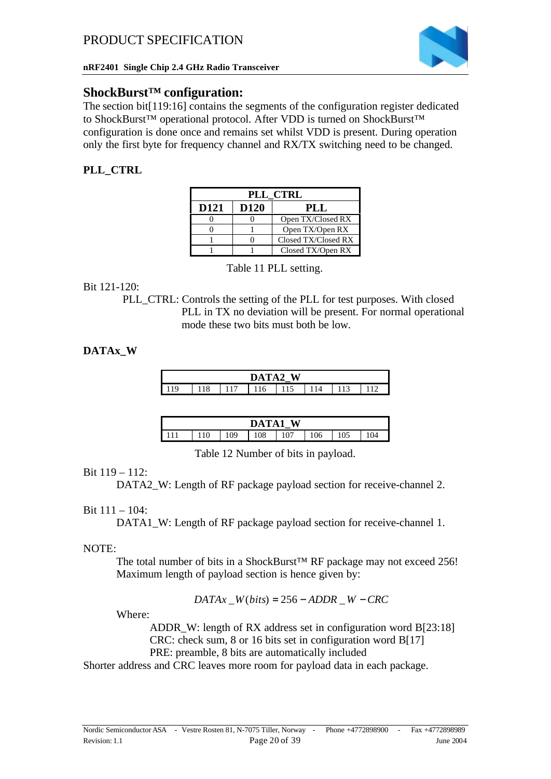

### **ShockBurst™ configuration:**

The section bit[119:16] contains the segments of the configuration register dedicated to ShockBurst™ operational protocol. After VDD is turned on ShockBurst™ configuration is done once and remains set whilst VDD is present. During operation only the first byte for frequency channel and RX/TX switching need to be changed.

### **PLL\_CTRL**

| PLL CTRL         |                  |                     |  |  |  |  |  |  |  |  |  |
|------------------|------------------|---------------------|--|--|--|--|--|--|--|--|--|
| D <sub>121</sub> | D <sub>120</sub> | PLL                 |  |  |  |  |  |  |  |  |  |
|                  |                  | Open TX/Closed RX   |  |  |  |  |  |  |  |  |  |
|                  |                  | Open TX/Open RX     |  |  |  |  |  |  |  |  |  |
|                  |                  | Closed TX/Closed RX |  |  |  |  |  |  |  |  |  |
|                  |                  | Closed TX/Open RX   |  |  |  |  |  |  |  |  |  |

Table 11 PLL setting.

#### Bit 121-120:

PLL CTRL: Controls the setting of the PLL for test purposes. With closed PLL in TX no deviation will be present. For normal operational mode these two bits must both be low.

### **DATAx\_W**

| W<br>$\mathbf{A}$<br>DAT |    |  |     |     |            |  |  |
|--------------------------|----|--|-----|-----|------------|--|--|
|                          | 10 |  | 116 | 115 | $\sqrt{2}$ |  |  |

|  |    | DATA1 | W |     |     |    |
|--|----|-------|---|-----|-----|----|
|  | 09 | 108   |   | 106 | 105 | 04 |

Table 12 Number of bits in payload.

### Bit 119 – 112:

DATA2 W: Length of RF package payload section for receive-channel 2.

### Bit 111 – 104:

DATA1\_W: Length of RF package payload section for receive-channel 1.

### NOTE:

The total number of bits in a ShockBurst™ RF package may not exceed 256! Maximum length of payload section is hence given by:

 $DATAx$ <sub>*\_W*</sub>(*bits*) = 256 – *ADDR \_W* – *CRC* 

Where:

ADDR W: length of RX address set in configuration word B[23:18] CRC: check sum, 8 or 16 bits set in configuration word B[17] PRE: preamble, 8 bits are automatically included

Shorter address and CRC leaves more room for payload data in each package.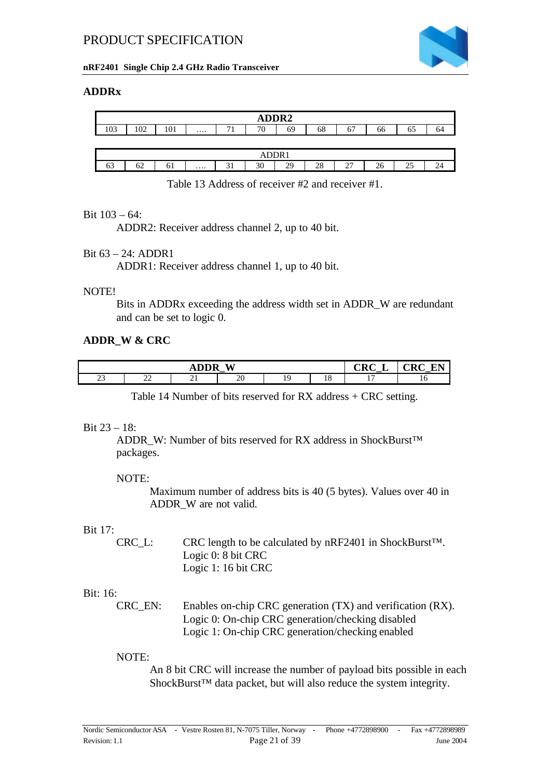

#### **nRF2401 Single Chip 2.4 GHz Radio Transceiver**

#### **ADDRx**

| ADDR2 |       |     |          |            |    |    |    |                            |    |    |    |
|-------|-------|-----|----------|------------|----|----|----|----------------------------|----|----|----|
| 103   | 102   | 101 | $\cdots$ | $-11$<br>л | 76 | 69 | 68 | 67                         | 66 | 65 | 64 |
|       |       |     |          |            |    |    |    |                            |    |    |    |
|       | ADDR1 |     |          |            |    |    |    |                            |    |    |    |
| 63    | 62    | 61  | $\cdots$ | 31         | 30 | 29 | 28 | $\mathcal{L}$<br><u>L,</u> | 26 | 25 | 24 |

Table 13 Address of receiver #2 and receiver #1.

#### Bit 103 – 64:

ADDR2: Receiver address channel 2, up to 40 bit.

#### Bit 63 – 24: ADDR1

ADDR1: Receiver address channel 1, up to 40 bit.

#### NOTE!

Bits in ADDRx exceeding the address width set in ADDR\_W are redundant and can be set to logic 0.

#### **ADDR\_W & CRC**

|               |                                | $\alpha$ dn $\alpha$<br>$\mathbf{v}$<br>۱<br>_ | $\sim$ $\sim$<br>$-11$<br>.K ( |                      |          |    |  |
|---------------|--------------------------------|------------------------------------------------|--------------------------------|----------------------|----------|----|--|
| $\sim$<br>ں ک | nη<br>$\overline{\phantom{a}}$ | $\overline{\phantom{0}}$                       | 20                             | $\ddot{\phantom{1}}$ | ıο<br>10 | -- |  |

Table 14 Number of bits reserved for RX address + CRC setting.

#### Bit 23 – 18:

ADDR W: Number of bits reserved for RX address in ShockBurst™ packages.

#### NOTE:

Maximum number of address bits is 40 (5 bytes). Values over 40 in ADDR\_W are not valid.

#### Bit 17:

| CRC L: | CRC length to be calculated by $nRF2401$ in ShockBurst <sup>TM</sup> . |
|--------|------------------------------------------------------------------------|
|        | Logic $0: 8$ bit CRC                                                   |
|        | Logic 1: 16 bit CRC                                                    |

#### Bit: 16:

| CRC EN: | Enables on-chip CRC generation (TX) and verification (RX). |
|---------|------------------------------------------------------------|
|         | Logic 0: On-chip CRC generation/checking disabled          |
|         | Logic 1: On-chip CRC generation/checking enabled           |

#### NOTE:

An 8 bit CRC will increase the number of payload bits possible in each ShockBurst™ data packet, but will also reduce the system integrity.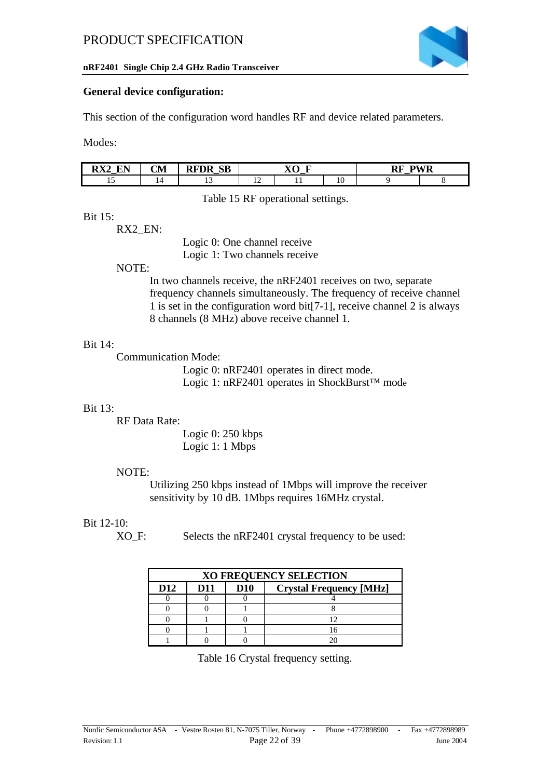

#### **nRF2401 Single Chip 2.4 GHz Radio Transceiver**

#### **General device configuration:**

This section of the configuration word handles RF and device related parameters.

Modes:

| $\blacksquare$<br>DV <sub>2</sub><br>√D.<br>↗<br>n<br>$\overline{\phantom{a}}$<br>$\overline{\phantom{a}}$ | $\sim$<br>UМ | <b>SB</b><br>FDR<br>$-$ | --<br>--<br>$\overline{\phantom{a}}$ |     |    | $\mathbf{M}$<br>DE<br>w<br><b>N</b><br>. .<br>$\overline{\phantom{a}}$ |  |  |
|------------------------------------------------------------------------------------------------------------|--------------|-------------------------|--------------------------------------|-----|----|------------------------------------------------------------------------|--|--|
| <b></b>                                                                                                    |              |                         | . .                                  | . . | 10 |                                                                        |  |  |

Table 15 RF operational settings.

#### Bit 15:

RX2\_EN:

Logic 0: One channel receive Logic 1: Two channels receive

#### NOTE:

In two channels receive, the nRF2401 receives on two, separate frequency channels simultaneously. The frequency of receive channel 1 is set in the configuration word bit[7-1], receive channel 2 is always 8 channels (8 MHz) above receive channel 1.

#### Bit 14:

Communication Mode:

Logic 0: nRF2401 operates in direct mode. Logic 1: nRF2401 operates in ShockBurst™ mode

#### Bit 13:

RF Data Rate:

Logic 0: 250 kbps Logic 1: 1 Mbps

#### NOTE:

Utilizing 250 kbps instead of 1Mbps will improve the receiver sensitivity by 10 dB. 1Mbps requires 16MHz crystal.

#### Bit 12-10:

XO\_F: Selects the nRF2401 crystal frequency to be used:

|                 | <b>XO FREQUENCY SELECTION</b> |            |                                |  |  |  |  |  |  |
|-----------------|-------------------------------|------------|--------------------------------|--|--|--|--|--|--|
| D <sub>12</sub> | D11                           | <b>D10</b> | <b>Crystal Frequency [MHz]</b> |  |  |  |  |  |  |
|                 |                               |            |                                |  |  |  |  |  |  |
|                 |                               |            |                                |  |  |  |  |  |  |
|                 |                               |            |                                |  |  |  |  |  |  |
|                 |                               |            |                                |  |  |  |  |  |  |
|                 |                               |            |                                |  |  |  |  |  |  |

Table 16 Crystal frequency setting.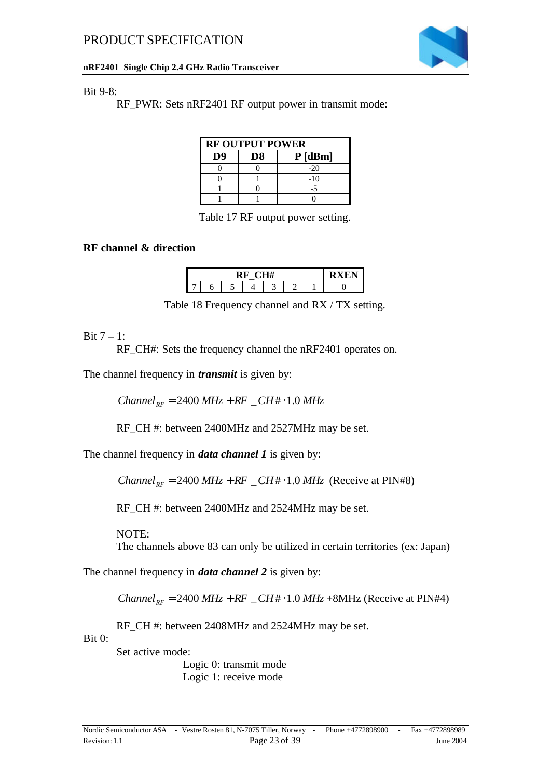

#### **nRF2401 Single Chip 2.4 GHz Radio Transceiver**

#### Bit 9-8:

RF\_PWR: Sets nRF2401 RF output power in transmit mode:

| <b>RF OUTPUT POWER</b> |    |           |  |  |  |  |  |  |
|------------------------|----|-----------|--|--|--|--|--|--|
| D9                     | D8 | $P$ [dBm] |  |  |  |  |  |  |
|                        |    | $-20$     |  |  |  |  |  |  |
|                        |    | $-10$     |  |  |  |  |  |  |
|                        |    |           |  |  |  |  |  |  |
|                        |    |           |  |  |  |  |  |  |

Table 17 RF output power setting.

#### **RF channel & direction**

Table 18 Frequency channel and RX / TX setting.

#### Bit  $7 - 1$ :

RF CH#: Sets the frequency channel the nRF2401 operates on.

The channel frequency in *transmit* is given by:

 $Channel_{BE} = 2400 MHz + RF \_CH + 1.0 MHz$ 

RF\_CH #: between 2400MHz and 2527MHz may be set.

The channel frequency in *data channel 1* is given by:

*Channel*<sub>RF</sub> = 2400  $MHz + RF \_CH + 1.0 MHz$  (Receive at PIN#8)

RF\_CH #: between 2400MHz and 2524MHz may be set.

NOTE:

The channels above 83 can only be utilized in certain territories (ex: Japan)

The channel frequency in *data channel 2* is given by:

*Channel*  $_{RF}$  = 2400  $MHz + RF \_CH + 1.0 MHz + 8MHz$  (Receive at PIN#4)

RF\_CH #: between 2408MHz and 2524MHz may be set.

Bit 0:

Set active mode:

Logic 0: transmit mode Logic 1: receive mode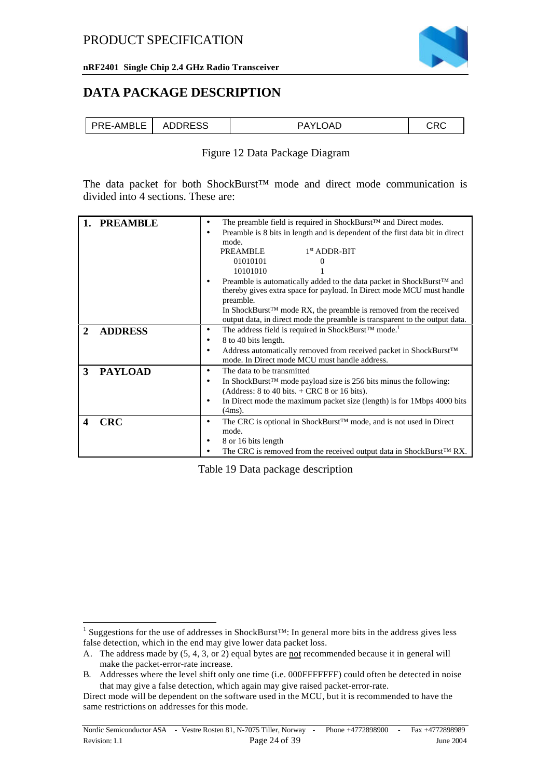

### **DATA PACKAGE DESCRIPTION**

| <b>ADDRESS</b><br>PRE-AMBLE<br>r LOAD<br>ו∨∆כ |
|-----------------------------------------------|
|-----------------------------------------------|

#### Figure 12 Data Package Diagram

The data packet for both ShockBurst™ mode and direct mode communication is divided into 4 sections. These are:

|              | <b>PREAMBLE</b> | ٠         | The preamble field is required in ShockBurst <sup>TM</sup> and Direct modes.                                                                                |
|--------------|-----------------|-----------|-------------------------------------------------------------------------------------------------------------------------------------------------------------|
|              |                 | ٠         | Preamble is 8 bits in length and is dependent of the first data bit in direct                                                                               |
|              |                 |           | mode.                                                                                                                                                       |
|              |                 |           | $1st$ ADDR-BIT<br>PREAMBLE                                                                                                                                  |
|              |                 |           | 01010101<br>0                                                                                                                                               |
|              |                 |           | 10101010                                                                                                                                                    |
|              |                 |           | Preamble is automatically added to the data packet in ShockBurst™ and<br>thereby gives extra space for payload. In Direct mode MCU must handle<br>preamble. |
|              |                 |           | In ShockBurst <sup>TM</sup> mode RX, the preamble is removed from the received                                                                              |
|              |                 |           | output data, in direct mode the preamble is transparent to the output data.                                                                                 |
|              | <b>ADDRESS</b>  | ٠         | The address field is required in ShockBurst™ mode. <sup>1</sup>                                                                                             |
|              |                 | ٠         | 8 to 40 bits length.                                                                                                                                        |
|              |                 | ٠         | Address automatically removed from received packet in ShockBurst™<br>mode. In Direct mode MCU must handle address.                                          |
| $\mathbf{3}$ | <b>PAYLOAD</b>  | $\bullet$ | The data to be transmitted                                                                                                                                  |
|              |                 | ٠         | In ShockBurst <sup>TM</sup> mode payload size is 256 bits minus the following:                                                                              |
|              |                 |           | (Address: $8$ to $40$ bits. $+$ CRC $8$ or $16$ bits).                                                                                                      |
|              |                 | ٠         | In Direct mode the maximum packet size (length) is for 1Mbps 4000 bits                                                                                      |
|              |                 |           | $(4ms)$ .                                                                                                                                                   |
|              | <b>CRC</b>      | ٠         | The CRC is optional in ShockBurst <sup>TM</sup> mode, and is not used in Direct                                                                             |
|              |                 |           | mode.                                                                                                                                                       |
|              |                 | ٠         | 8 or 16 bits length                                                                                                                                         |
|              |                 |           | The CRC is removed from the received output data in ShockBurst™ RX.                                                                                         |

Table 19 Data package description

l

<sup>&</sup>lt;sup>1</sup> Suggestions for the use of addresses in ShockBurst<sup>TM</sup>: In general more bits in the address gives less false detection, which in the end may give lower data packet loss.

A. The address made by (5, 4, 3, or 2) equal bytes are not recommended because it in general will make the packet-error-rate increase.

B. Addresses where the level shift only one time (i.e. 000FFFFFFF) could often be detected in noise that may give a false detection, which again may give raised packet-error-rate.

Direct mode will be dependent on the software used in the MCU, but it is recommended to have the same restrictions on addresses for this mode.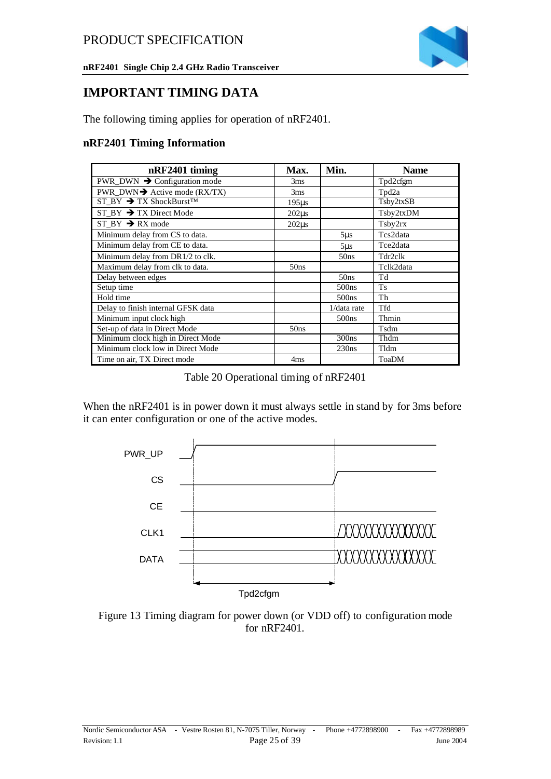

**nRF2401 Single Chip 2.4 GHz Radio Transceiver**

### **IMPORTANT TIMING DATA**

The following timing applies for operation of nRF2401.

#### **nRF2401 Timing Information**

| nRF2401 timing                                              | Max.            | Min.              | <b>Name</b>  |
|-------------------------------------------------------------|-----------------|-------------------|--------------|
| PWR_DWN $\rightarrow$ Configuration mode                    | 3 <sub>ms</sub> |                   | Tpd2cfgm     |
| <b>PWR_DWN <math>\rightarrow</math></b> Active mode (RX/TX) | 3ms             |                   | Tpd2a        |
| $ST_BY \rightarrow TX$ ShockBurst <sup>TM</sup>             | $195\mu s$      |                   | Tsby2txSB    |
| $ST_BY \rightarrow TX$ Direct Mode                          | $202\mu s$      |                   | Tsby2txDM    |
| ST BY $\rightarrow$ RX mode                                 | $202\mu s$      |                   | Tsby2rx      |
| Minimum delay from CS to data.                              |                 | $5\mu s$          | Tcs2data     |
| Minimum delay from CE to data.                              |                 | $5\mu s$          | Tce2data     |
| Minimum delay from DR1/2 to clk.                            |                 | 50ns              | Tdr2clk      |
| Maximum delay from clk to data.                             | 50ns            |                   | Tclk2data    |
| Delay between edges                                         |                 | 50ns              | Td           |
| Setup time                                                  |                 | 500 <sub>ns</sub> | <b>Ts</b>    |
| Hold time                                                   |                 | 500 <sub>ns</sub> | Th           |
| Delay to finish internal GFSK data                          |                 | $1/data$ rate     | <b>Tfd</b>   |
| Minimum input clock high                                    |                 | 500 <sub>ns</sub> | Thmin        |
| Set-up of data in Direct Mode                               | 50ns            |                   | Tsdm         |
| Minimum clock high in Direct Mode                           |                 | 300ns             | Thdm         |
| Minimum clock low in Direct Mode                            |                 | 230ns             | Tldm         |
| Time on air, TX Direct mode                                 | 4 <sub>ms</sub> |                   | <b>ToaDM</b> |

Table 20 Operational timing of nRF2401

When the nRF2401 is in power down it must always settle in stand by for 3ms before it can enter configuration or one of the active modes.



Figure 13 Timing diagram for power down (or VDD off) to configuration mode for nRF2401.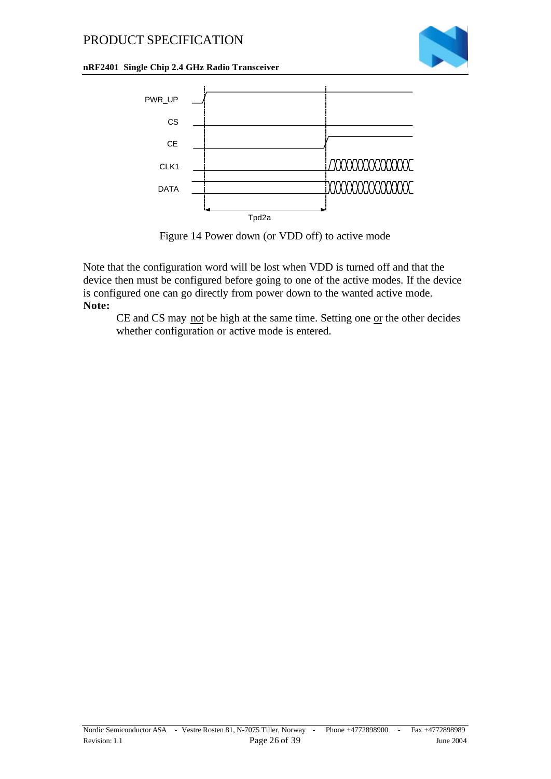

#### **nRF2401 Single Chip 2.4 GHz Radio Transceiver**



Figure 14 Power down (or VDD off) to active mode

Note that the configuration word will be lost when VDD is turned off and that the device then must be configured before going to one of the active modes. If the device is configured one can go directly from power down to the wanted active mode. **Note:**

CE and CS may not be high at the same time. Setting one or the other decides whether configuration or active mode is entered.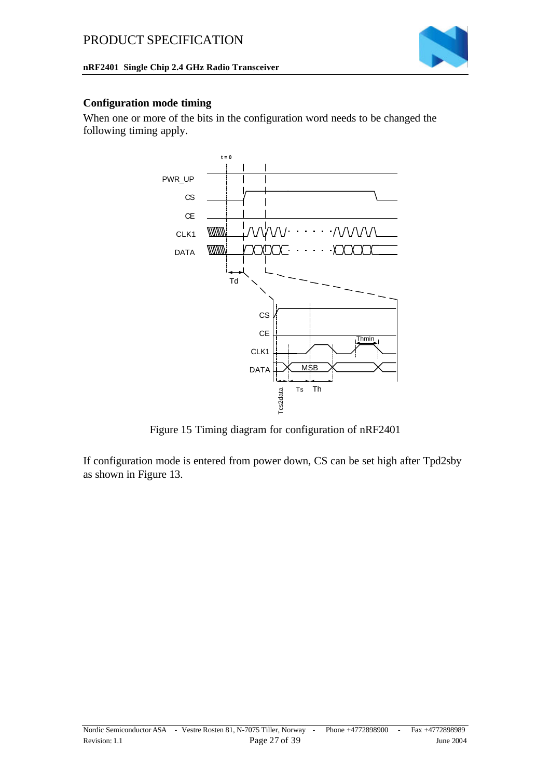#### **nRF2401 Single Chip 2.4 GHz Radio Transceiver**



#### **Configuration mode timing**

When one or more of the bits in the configuration word needs to be changed the following timing apply.



Figure 15 Timing diagram for configuration of nRF2401

If configuration mode is entered from power down, CS can be set high after Tpd2sby as shown in Figure 13.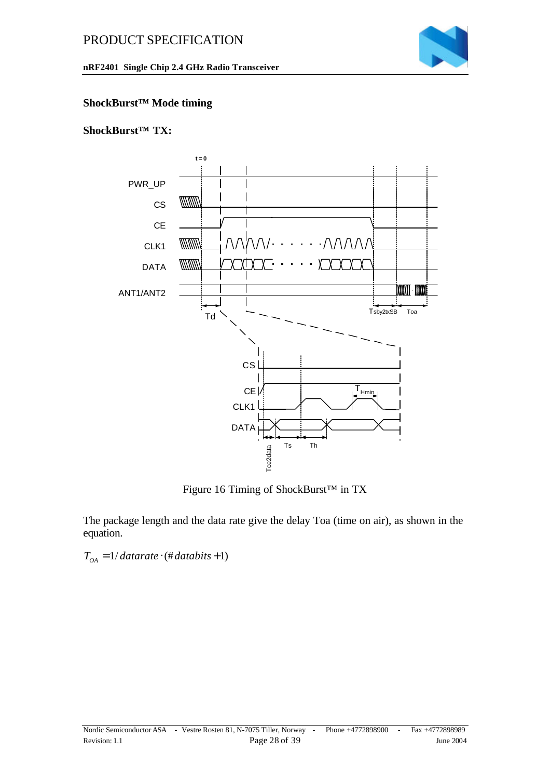

#### **nRF2401 Single Chip 2.4 GHz Radio Transceiver**

#### **ShockBurst™ Mode timing**

#### **ShockBurst™ TX:**



Figure 16 Timing of ShockBurst™ in TX

The package length and the data rate give the delay Toa (time on air), as shown in the equation.

 $T_{OA} = 1 / 4$ *datarate*  $\cdot$  (# *databits* + 1)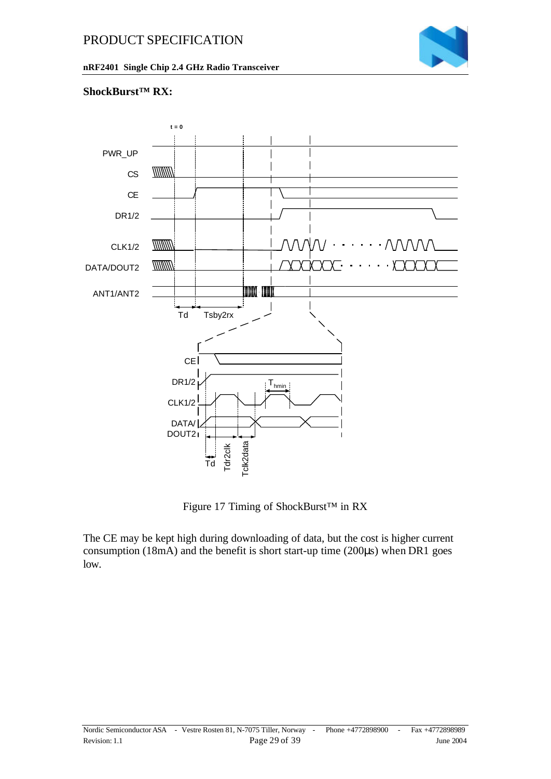

#### **ShockBurst™ RX:**



Figure 17 Timing of ShockBurst™ in RX

The CE may be kept high during downloading of data, but the cost is higher current consumption (18mA) and the benefit is short start-up time (200μs) when DR1 goes low.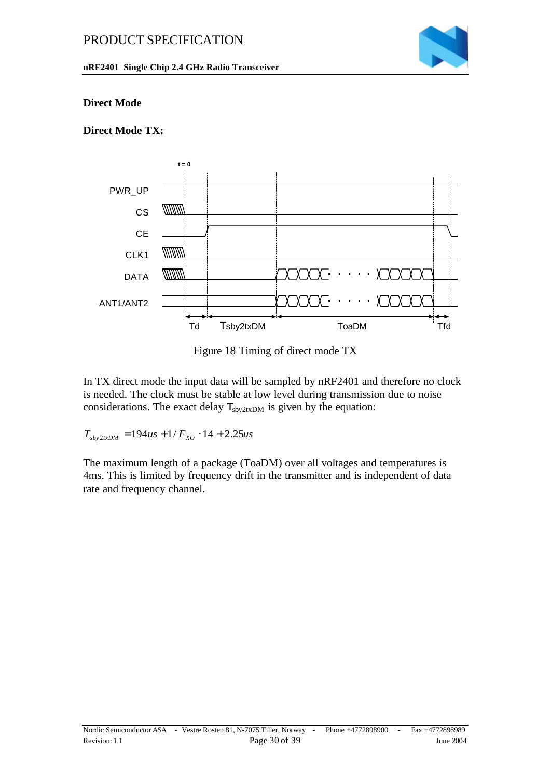

#### **nRF2401 Single Chip 2.4 GHz Radio Transceiver**

#### **Direct Mode**

### **Direct Mode TX:**



Figure 18 Timing of direct mode TX

In TX direct mode the input data will be sampled by nRF2401 and therefore no clock is needed. The clock must be stable at low level during transmission due to noise considerations. The exact delay  $T_{\text{sby2txDM}}$  is given by the equation:

 $T_{\text{sky2txDM}} = 194us + 1/F_{\text{XO}} \cdot 14 + 2.25us$ 

The maximum length of a package (ToaDM) over all voltages and temperatures is 4ms. This is limited by frequency drift in the transmitter and is independent of data rate and frequency channel.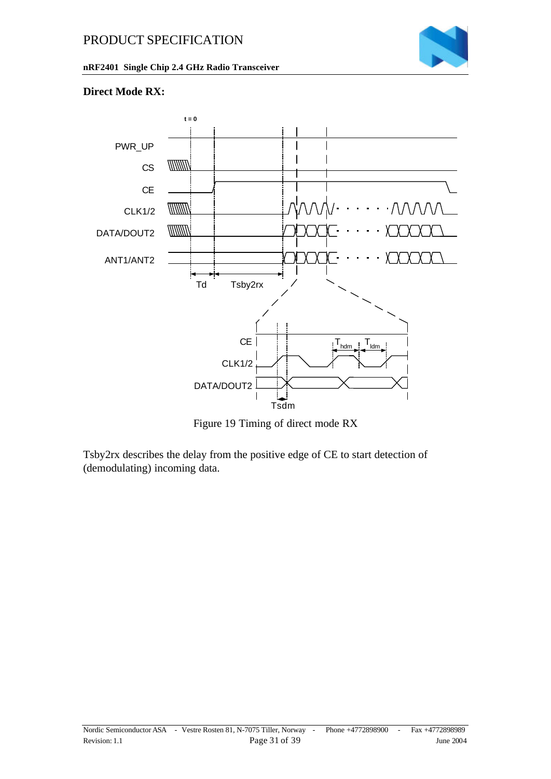

**nRF2401 Single Chip 2.4 GHz Radio Transceiver**

#### **Direct Mode RX:**



Figure 19 Timing of direct mode RX

Tsby2rx describes the delay from the positive edge of CE to start detection of (demodulating) incoming data.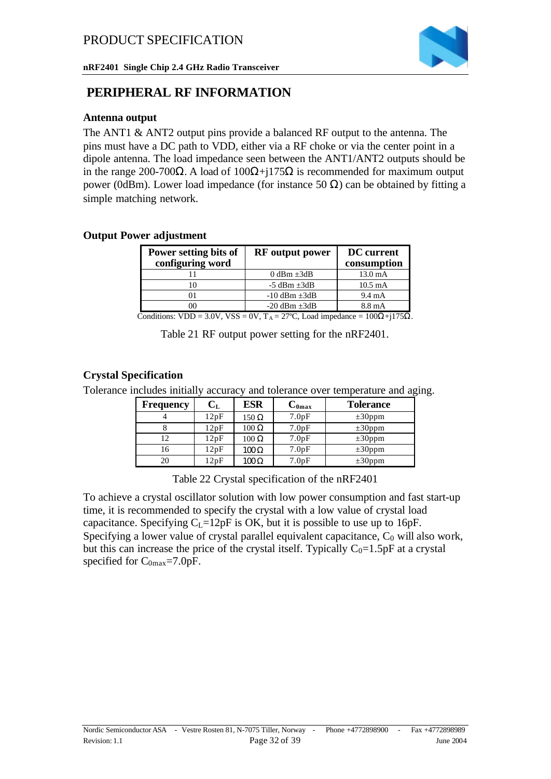

### **PERIPHERAL RF INFORMATION**

#### **Antenna output**

The ANT1 & ANT2 output pins provide a balanced RF output to the antenna. The pins must have a DC path to VDD, either via a RF choke or via the center point in a dipole antenna. The load impedance seen between the ANT1/ANT2 outputs should be in the range 200-700Ω. A load of  $100Ω+j175Ω$  is recommended for maximum output power (0dBm). Lower load impedance (for instance 50 Ω) can be obtained by fitting a simple matching network.

#### **Output Power adjustment**

| Power setting bits of<br>configuring word | <b>RF</b> output power | <b>DC</b> current<br>consumption |
|-------------------------------------------|------------------------|----------------------------------|
|                                           | 0 dBm $\pm 3$ dB       | $13.0 \text{ mA}$                |
|                                           | $-5$ dBm $\pm 3$ dB    | $10.5 \text{ mA}$                |
|                                           | $-10$ dBm $\pm 3$ dB   | $9.4 \text{ mA}$                 |
|                                           | $-20$ dBm $\pm 3$ dB   | 8.8 mA                           |

Conditions: VDD = 3.0V, VSS = 0V,  $T_A = 27^{\circ}C$ , Load impedance =  $100\Omega +175\Omega$ .

Table 21 RF output power setting for the nRF2401.

#### **Crystal Specification**

Tolerance includes initially accuracy and tolerance over temperature and aging.

| Frequency | $\rm C_{L}$ | <b>ESR</b>   | $C_{0max}$ | <b>Tolerance</b> |
|-----------|-------------|--------------|------------|------------------|
|           | 12pF        | $150 \Omega$ | 7.0pF      | $\pm 30$ ppm     |
|           | 12pF        | $100 \Omega$ | 7.0pF      | $\pm 30$ ppm     |
| 12        | 12pF        | $100 \Omega$ | 7.0pF      | $\pm 30$ ppm     |
| 16        | 12pF        | $100 \Omega$ | 7.0pF      | $\pm 30$ ppm     |
| 20        | 12pF        | $100 \Omega$ | 7.0pF      | $\pm 30$ ppm     |

Table 22 Crystal specification of the nRF2401

To achieve a crystal oscillator solution with low power consumption and fast start-up time, it is recommended to specify the crystal with a low value of crystal load capacitance. Specifying  $C_L=12pF$  is OK, but it is possible to use up to 16pF. Specifying a lower value of crystal parallel equivalent capacitance,  $C_0$  will also work, but this can increase the price of the crystal itself. Typically  $C_0=1.5pF$  at a crystal specified for  $C_{0max}$ =7.0pF.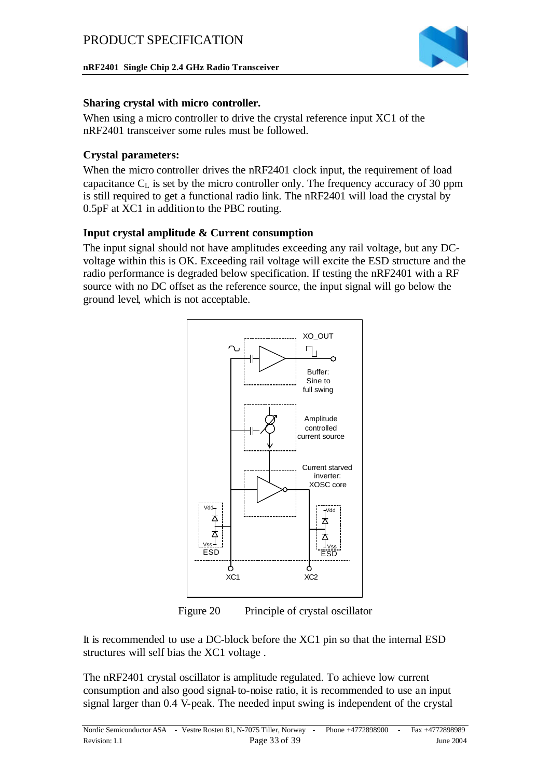

#### **Sharing crystal with micro controller.**

When using a micro controller to drive the crystal reference input XC1 of the nRF2401 transceiver some rules must be followed.

#### **Crystal parameters:**

When the micro controller drives the nRF2401 clock input, the requirement of load capacitance  $C_{\text{L}}$  is set by the micro controller only. The frequency accuracy of 30 ppm is still required to get a functional radio link. The nRF2401 will load the crystal by 0.5pF at XC1 in addition to the PBC routing.

#### **Input crystal amplitude & Current consumption**

The input signal should not have amplitudes exceeding any rail voltage, but any DCvoltage within this is OK. Exceeding rail voltage will excite the ESD structure and the radio performance is degraded below specification. If testing the nRF2401 with a RF source with no DC offset as the reference source, the input signal will go below the ground level, which is not acceptable.



Figure 20 Principle of crystal oscillator

It is recommended to use a DC-block before the XC1 pin so that the internal ESD structures will self bias the XC1 voltage .

The nRF2401 crystal oscillator is amplitude regulated. To achieve low current consumption and also good signal-to-noise ratio, it is recommended to use an input signal larger than 0.4 V-peak. The needed input swing is independent of the crystal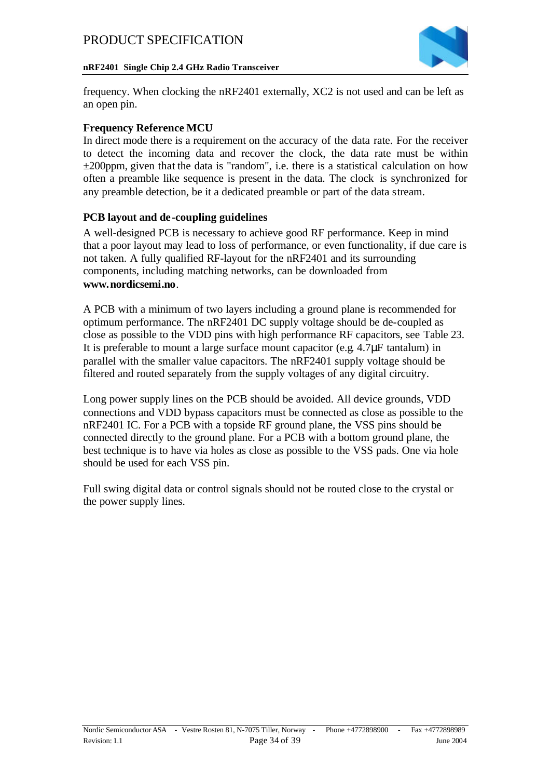

#### **nRF2401 Single Chip 2.4 GHz Radio Transceiver**

frequency. When clocking the nRF2401 externally, XC2 is not used and can be left as an open pin.

#### **Frequency Reference MCU**

In direct mode there is a requirement on the accuracy of the data rate. For the receiver to detect the incoming data and recover the clock, the data rate must be within  $\pm 200$ ppm, given that the data is "random", i.e. there is a statistical calculation on how often a preamble like sequence is present in the data. The clock is synchronized for any preamble detection, be it a dedicated preamble or part of the data stream.

#### **PCB layout and de -coupling guidelines**

A well-designed PCB is necessary to achieve good RF performance. Keep in mind that a poor layout may lead to loss of performance, or even functionality, if due care is not taken. A fully qualified RF-layout for the nRF2401 and its surrounding components, including matching networks, can be downloaded from **www.nordicsemi.no**.

A PCB with a minimum of two layers including a ground plane is recommended for optimum performance. The nRF2401 DC supply voltage should be de-coupled as close as possible to the VDD pins with high performance RF capacitors, see Table 23. It is preferable to mount a large surface mount capacitor (e.g. 4.7μF tantalum) in parallel with the smaller value capacitors. The nRF2401 supply voltage should be filtered and routed separately from the supply voltages of any digital circuitry.

Long power supply lines on the PCB should be avoided. All device grounds, VDD connections and VDD bypass capacitors must be connected as close as possible to the nRF2401 IC. For a PCB with a topside RF ground plane, the VSS pins should be connected directly to the ground plane. For a PCB with a bottom ground plane, the best technique is to have via holes as close as possible to the VSS pads. One via hole should be used for each VSS pin.

Full swing digital data or control signals should not be routed close to the crystal or the power supply lines.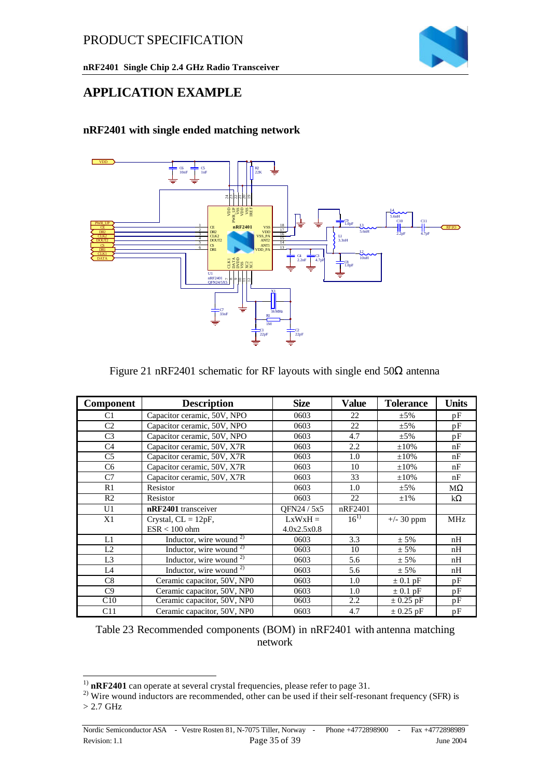

### **APPLICATION EXAMPLE**

#### **nRF2401 with single ended matching network**



#### Figure 21 nRF2401 schematic for RF layouts with single end  $50\Omega$  antenna

| <b>Component</b> | <b>Description</b>          | <b>Size</b> | <b>Value</b> | <b>Tolerance</b> | <b>Units</b> |
|------------------|-----------------------------|-------------|--------------|------------------|--------------|
| C1               | Capacitor ceramic, 50V, NPO | 0603        | 22           | $\pm 5\%$        | pF           |
| C <sub>2</sub>   | Capacitor ceramic, 50V, NPO | 0603        | 22           | $\pm$ 5%         | pF           |
| C <sub>3</sub>   | Capacitor ceramic, 50V, NPO | 0603        | 4.7          | $\pm$ 5%         | pF           |
| C <sub>4</sub>   | Capacitor ceramic, 50V, X7R | 0603        | 2.2          | $\pm 10\%$       | nF           |
| C <sub>5</sub>   | Capacitor ceramic, 50V, X7R | 0603        | 1.0          | $\pm 10\%$       | nF           |
| C <sub>6</sub>   | Capacitor ceramic, 50V, X7R | 0603        | 10           | $\pm 10\%$       | nF           |
| C7               | Capacitor ceramic, 50V, X7R | 0603        | 33           | $\pm 10\%$       | nF           |
| R1               | Resistor                    | 0603        | 1.0          | $\pm 5\%$        | $M\Omega$    |
| R <sub>2</sub>   | Resistor                    | 0603        | 22           | $\pm 1\%$        | $k\Omega$    |
| U1               | nRF2401 transceiver         | OFN24 / 5x5 | nRF2401      |                  |              |
| X1               | Crystal, $CL = 12pF$ ,      | $LxWxH =$   | $16^{1}$     | $+/- 30$ ppm     | <b>MHz</b>   |
|                  | $ESR < 100$ ohm             | 4.0x2.5x0.8 |              |                  |              |
| L1               | Inductor, wire wound $2$ )  | 0603        | 3.3          | $± 5\%$          | nH           |
| L2               | Inductor, wire wound $2$    | 0603        | 10           | $± 5\%$          | nH           |
| L <sub>3</sub>   | Inductor, wire wound $2$ )  | 0603        | 5.6          | $± 5\%$          | nH           |
| L <sub>4</sub>   | Inductor, wire wound $2$ )  | 0603        | 5.6          | $± 5\%$          | nH           |
| C8               | Ceramic capacitor, 50V, NP0 | 0603        | 1.0          | $\pm$ 0.1 pF     | pF           |
| C9               | Ceramic capacitor, 50V, NP0 | 0603        | 1.0          | $\pm$ 0.1 pF     | pF           |
| C10              | Ceramic capacitor, 50V, NP0 | 0603        | 2.2          | $\pm$ 0.25 pF    | pF           |
| C11              | Ceramic capacitor, 50V, NP0 | 0603        | 4.7          | $\pm$ 0.25 pF    | pF           |

Table 23 Recommended components (BOM) in nRF2401 with antenna matching network

l

<sup>&</sup>lt;sup>1)</sup> nRF2401 can operate at several crystal frequencies, please refer to page 31.

<sup>2)</sup> Wire wound inductors are recommended, other can be used if their self-resonant frequency (SFR) is > 2.7 GHz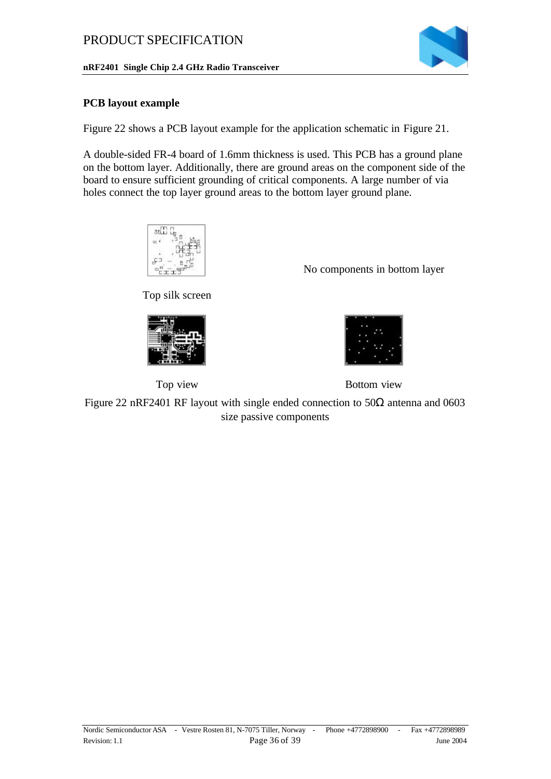#### **PCB layout example**

Figure 22 shows a PCB layout example for the application schematic in Figure 21.

A double-sided FR-4 board of 1.6mm thickness is used. This PCB has a ground plane on the bottom layer. Additionally, there are ground areas on the component side of the board to ensure sufficient grounding of critical components. A large number of via holes connect the top layer ground areas to the bottom layer ground plane.



Top silk screen







Top view Bottom view

Figure 22 nRF2401 RF layout with single ended connection to  $50\Omega$  antenna and 0603 size passive components

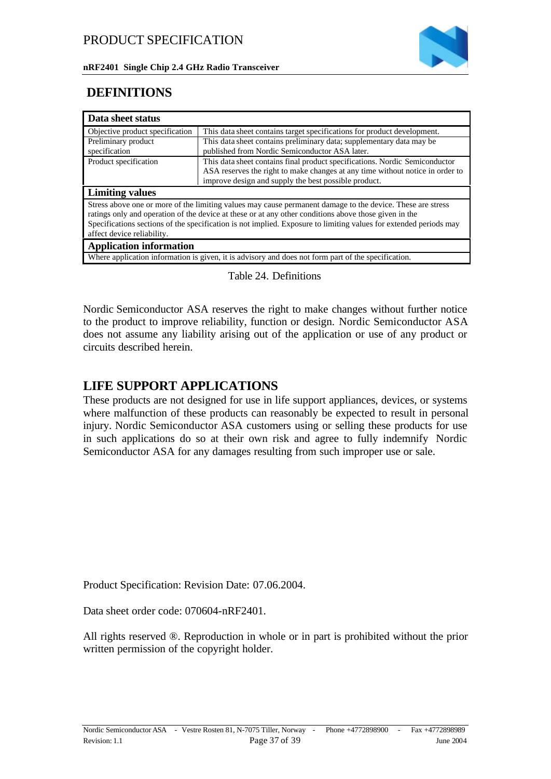

### **DEFINITIONS**

| Data sheet status               |                                                                                                                   |
|---------------------------------|-------------------------------------------------------------------------------------------------------------------|
| Objective product specification | This data sheet contains target specifications for product development.                                           |
| Preliminary product             | This data sheet contains preliminary data; supplementary data may be                                              |
| specification                   | published from Nordic Semiconductor ASA later.                                                                    |
| Product specification           | This data sheet contains final product specifications. Nordic Semiconductor                                       |
|                                 | ASA reserves the right to make changes at any time without notice in order to                                     |
|                                 | improve design and supply the best possible product.                                                              |
|                                 |                                                                                                                   |
| <b>Limiting values</b>          |                                                                                                                   |
|                                 | Stress above one or more of the limiting values may cause permanent damage to the device. These are stress        |
|                                 | ratings only and operation of the device at these or at any other conditions above those given in the             |
|                                 | Specifications sections of the specification is not implied. Exposure to limiting values for extended periods may |
| affect device reliability.      |                                                                                                                   |
| <b>Application information</b>  |                                                                                                                   |

#### Table 24. Definitions

Nordic Semiconductor ASA reserves the right to make changes without further notice to the product to improve reliability, function or design. Nordic Semiconductor ASA does not assume any liability arising out of the application or use of any product or circuits described herein.

### **LIFE SUPPORT APPLICATIONS**

These products are not designed for use in life support appliances, devices, or systems where malfunction of these products can reasonably be expected to result in personal injury. Nordic Semiconductor ASA customers using or selling these products for use in such applications do so at their own risk and agree to fully indemnify Nordic Semiconductor ASA for any damages resulting from such improper use or sale.

Product Specification: Revision Date: 07.06.2004.

Data sheet order code: 070604-nRF2401.

All rights reserved ®. Reproduction in whole or in part is prohibited without the prior written permission of the copyright holder.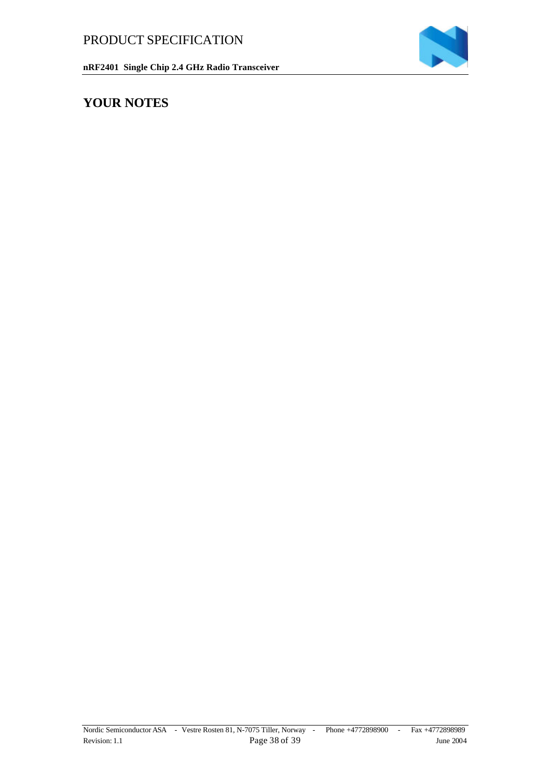

### **YOUR NOTES**